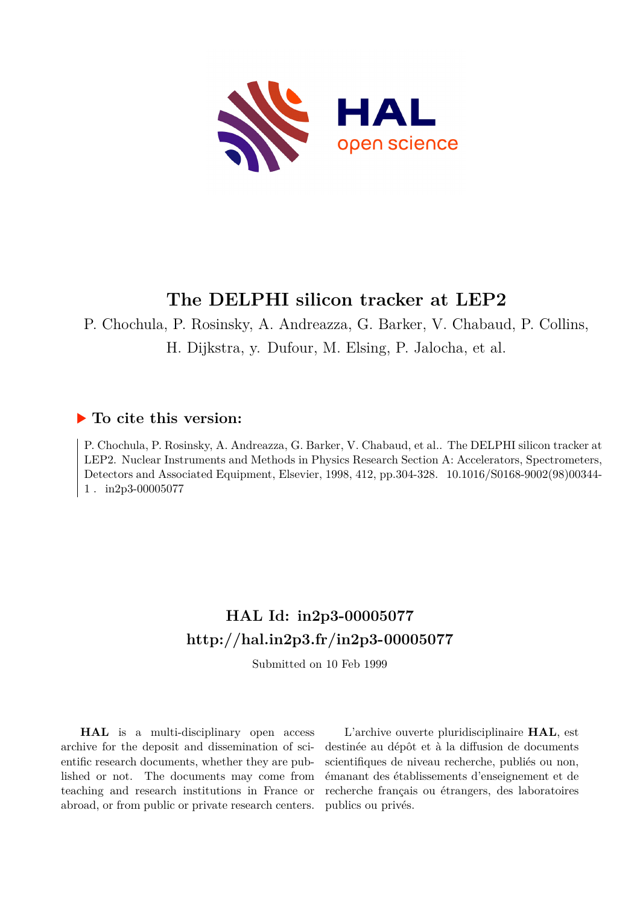

# **The DELPHI silicon tracker at LEP2**

P. Chochula, P. Rosinsky, A. Andreazza, G. Barker, V. Chabaud, P. Collins,

H. Dijkstra, y. Dufour, M. Elsing, P. Jalocha, et al.

# **To cite this version:**

P. Chochula, P. Rosinsky, A. Andreazza, G. Barker, V. Chabaud, et al.. The DELPHI silicon tracker at LEP2. Nuclear Instruments and Methods in Physics Research Section A: Accelerators, Spectrometers, Detectors and Associated Equipment, Elsevier, 1998, 412, pp.304-328. 10.1016/S0168-9002(98)00344-1.  $in2p3-00005077$ 

# **HAL Id: in2p3-00005077 <http://hal.in2p3.fr/in2p3-00005077>**

Submitted on 10 Feb 1999

**HAL** is a multi-disciplinary open access archive for the deposit and dissemination of scientific research documents, whether they are published or not. The documents may come from teaching and research institutions in France or abroad, or from public or private research centers.

L'archive ouverte pluridisciplinaire **HAL**, est destinée au dépôt et à la diffusion de documents scientifiques de niveau recherche, publiés ou non, émanant des établissements d'enseignement et de recherche français ou étrangers, des laboratoires publics ou privés.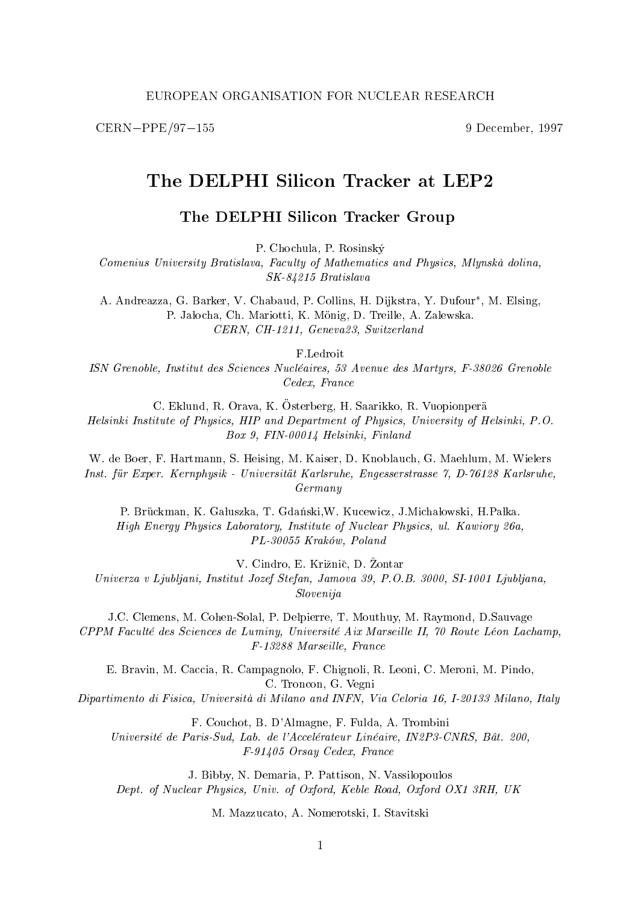CERN-PPE/97-155 9 December, 1997

# The DELPHI Silicon Tracker at LEP2

The DELPHI Silicon Tracker Group

P. Chochula, P. Rosinsky

Comenius University Bratislava, Faculty of Mathematics and Physics, Mlynska dolina, SK-84215 Bratislava

A. Andreazza, G. Barker, V. Chabaud, P. Collins, H. Dijkstra, Y. Dufour , M. Elsing, P. Jałocha, Ch. Mariotti, K. Mönig, D. Treille, A. Zalewska. CERN, CH-1211, Geneva23, Switzerland

F.Ledroit

ISN Grenoble, Institut des Sciences Nucleaires, 53 Avenue des Martyrs, F-38026 Grenoble Cedex, France

C. Eklund, R. Orava, K. Osterberg, H. Saarikko, R. Vuopionpera Helsinki Institute of Physics, HIP and Department of Physics, University of Helsinki, P.O. Box 9,FIN-00014 Helsinki, Finland

W. de Boer, F. Hartmann, S. Heising, M. Kaiser, D. Knoblauch, G. Maehlum, M. Wielers Inst. fur Exper. Kernphysik - Universitat Karlsruhe, Engesserstrasse 7, D-76128 Karlsruhe, Germany

P. Brückman, K. Gałuszka, T. Gdański,W. Kucewicz, J.Michałowski, H.Pałka. High Energy Physics Laboratory, Institute of Nuclear Physics, ul. Kawiory 26a, PL-30055 Kraków, Poland

V. Cindro, E. Kriznic, D. Zontar Univerza v Ljubljani, Institut Jozef Stefan, Jamova 39, P.O.B. 3000, SI-1001 Ljubljana, Slovenija

J.C. Clemens, M. Cohen-Solal, P. Delpierre, T. Mouthuy, M. Raymond, D.Sauvage CPPM Faculté des Sciences de Luminy, Université Aix Marseille II, 70 Route Léon Lachamp, F-13288 Marseille, France

E. Bravin, M. Caccia, R. Campagnolo, F. Chignoli, R. Leoni, C. Meroni, M. Pindo, C. Troncon, G. Vegni Dipartimento di Fisica, Universita di Milano and INFN, Via Celoria 16, I-20133 Milano, Italy

F. Couchot, B. D'Almagne, F. Fulda, A. Trombini Universite de Paris-Sud, Lab. de l'Accelerateur Lineaire, IN2P3-CNRS, B^at. 200, F-91405 Orsay Cedex, France

J. Bibby, N. Demaria, P. Pattison, N. Vassilopoulos Dept. of Nuclear Physics, Univ. of Oxford, Keble Road, Oxford OX1 3RH, UK

M. Mazzucato, A. Nomerotski, I. Stavitski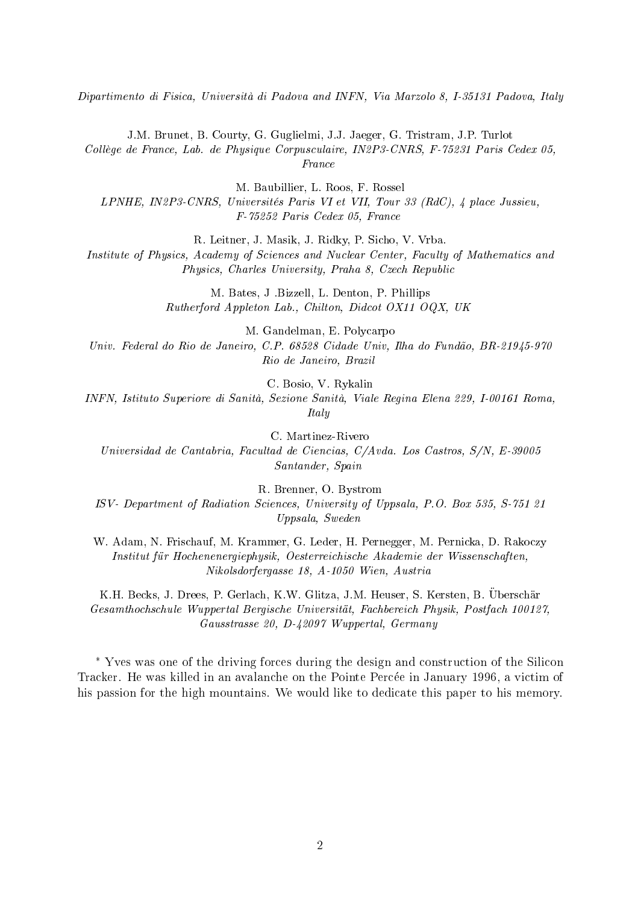Dipartimento di Fisica, Universita di Padova and INFN, Via Marzolo 8, I-35131 Padova, Italy

J.M. Brunet, B. Courty, G. Guglielmi, J.J. Jaeger, G. Tristram, J.P. Turlot

Collège de France, Lab. de Physique Corpusculaire, IN2P3-CNRS, F-75231 Paris Cedex 05, France

M. Baubillier, L. Roos, F. Rossel LPNHE, IN2P3-CNRS, Universites Paris VI et VII, Tour 33 (RdC), 4 place Jussieu,

F-75252 Paris Cedex 05, France

R. Leitner, J. Masik, J. Ridky, P. Sicho, V. Vrba.

Institute of Physics, Academy of Sciences and Nuclear Center, Faculty of Mathematics and Physics, Charles University, Praha 8, Czech Republic

> M. Bates, J .Bizzell, L. Denton, P. Phillips Rutherford Appleton Lab., Chilton, Didcot OX11 OQX, UK

M. Gandelman, E. Polycarpo Univ. Federal do Rio de Janeiro, C.P. 68528 Cidade Univ, Ilha do Fundão, BR-21945-970 Rio de Janeiro, Brazil

C. Bosio, V. Rykalin

INFN, Istituto Superiore di Sanità, Sezione Sanità, Viale Regina Elena 229, I-00161 Roma, Italy

C. Martinez-Rivero

Universidad de Cantabria, Facultad de Ciencias, C/Avda. Los Castros, S/N, E-39005 Santander, Spain

R. Brenner, O. Bystrom

ISV- Department of Radiation Sciences, University of Uppsala, P.O. Box 535, S-751 21 Uppsala, Sweden

W. Adam, N. Frischauf, M. Krammer, G. Leder, H. Pernegger, M. Pernicka, D. Rakoczy Institut fur Hochenenergiephysik, Oesterreichische Akademie der Wissenschaften, Nikolsdorfergasse 18, A-1050 Wien, Austria

K.H. Becks, J. Drees, P. Gerlach, K.W. Glitza, J.M. Heuser, S. Kersten, B. Ubersch ar Gesamthochschule Wuppertal Bergische Universitat, Fachbereich Physik, Postfach 100127, Gausstrasse 20, D-42097 Wuppertal, Germany

 Yves was one of the driving forces during the design and construction of the Silicon Tracker. He was killed in an avalanche on the Pointe Percée in January 1996, a victim of his passion for the high mountains. We would like to dedicate this paper to his memory.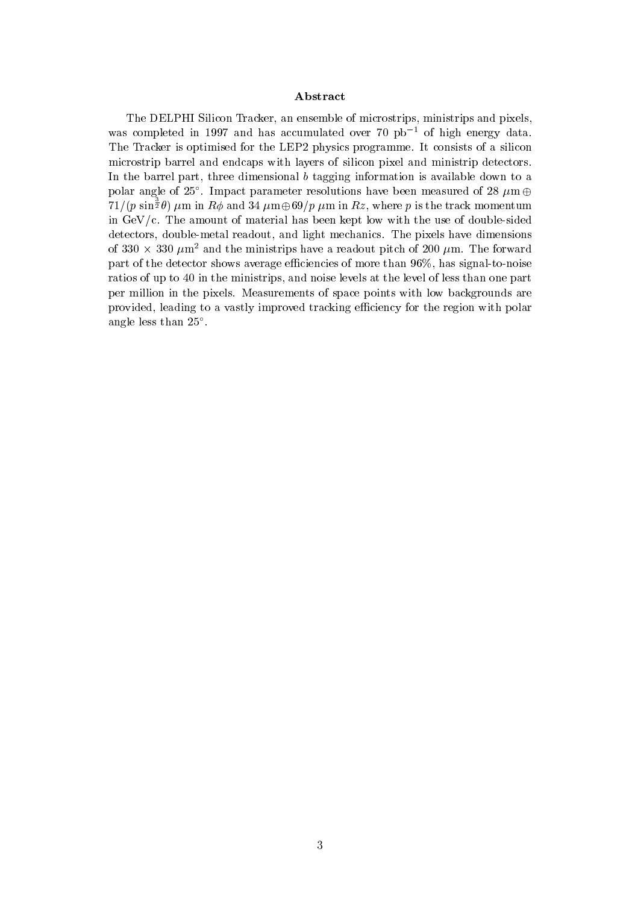### Abstract

The DELPHI Silicon Tracker, an ensemble of microstrips, ministrips and pixels, was completed in 1997 and has accumulated over 70  $pb^{-1}$  of high energy data. The Tracker is optimised for the LEP2 physics programme. It consists of a silicon microstrip barrel and endcaps with layers of silicon pixel and ministrip detectors. In the barrel part, three dimensional <sup>b</sup> tagging information is available down to a polar angle of  $z_9$  . Impact parameter resolutions have been measured of  $z_8$   $\mu{\rm m}$   $\oplus$  $71/(p \sin^2 \theta) \mu m$  in  $R\phi$  and 34  $\mu$ m $\oplus$ 69/p  $\mu$ m in  $Rz$ , where p is the track momentum in  $GeV/c$ . The amount of material has been kept low with the use of double-sided detectors, double-metal readout, and light mechanics. The pixels have dimensions of 330  $\times$  330  $\mu$ m and the ministrips have a readout pitch of 200  $\mu$ m. The forward part of the detector shows average efficiencies of more than  $96\%$ , has signal-to-noise ratios of up to 40 in the ministrips, and noise levels at the level of less than one part per million in the pixels. Measurements of space points with low backgrounds are provided, leading to a vastly improved tracking efficiency for the region with polar angle less than 25 .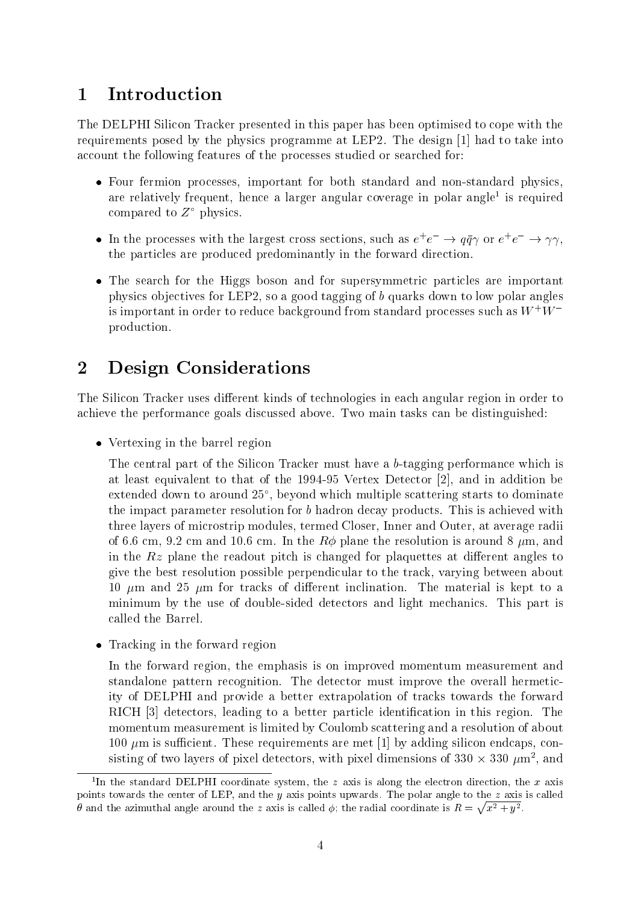### $\mathbf 1$ 1 Introduction

The DELPHI Silicon Tracker presented in this paper has been optimised to cope with the requirements posed by the physics programme at LEP2. The design [1] had to take into account the following features of the processes studied or searched for:

- Four fermion processes, important for both standard and non-standard physics, are relatively frequent, hence a larger angular coverage in polar angle<sup>-</sup> is required compared to  $Z^{\circ}$  physics.
- In the processes with the largest cross sections, such as  $e^+e^- \rightarrow qq\gamma$  or  $e^+e^- \rightarrow \gamma\gamma$ , the particles are produced predominantly in the forward direction.
- The search for the Higgs boson and for supersymmetric particles are important physics ob jectives for LEP2, so a good tagging of <sup>b</sup> quarks down to low polar angles is important in order to reduce background from standard processes such as  $W^+W^$ production.

# 2 Design Considerations

The Silicon Tracker uses different kinds of technologies in each angular region in order to achieve the performance goals discussed above. Two main tasks can be distinguished:

• Vertexing in the barrel region

The central part of the Silicon Tracker must have a b-tagging performance which is at least equivalent to that of the 1994-95 Vertex Detector [2], and in addition be extended down to around 25 , beyond which multiple scattering starts to dominate the impact parameter resolution for <sup>b</sup> hadron decay products. This is achieved with three layers of microstrip modules, termed Closer, Inner and Outer, at average radii of 6.6 cm, 9.2 cm and 10.6 cm. In the  $R\phi$  plane the resolution is around 8  $\mu$ m, and in the  $Rz$  plane the readout pitch is changed for plaquettes at different angles to give the best resolution possible perpendicular to the track, varying between about 10  $\mu$ m and 25  $\mu$ m for tracks of different inclination. The material is kept to a minimum by the use of double-sided detectors and light mechanics. This part is called the Barrel.

• Tracking in the forward region

In the forward region, the emphasis is on improved momentum measurement and standalone pattern recognition. The detector must improve the overall hermeticity of DELPHI and provide a better extrapolation of tracks towards the forward RICH [3] detectors, leading to a better particle identication in this region. The momentum measurement is limited by Coulomb scattering and a resolution of about 100  $\mu$ m is sufficient. These requirements are met [1] by adding silicon endcaps, consisting of two layers of pixel detectors, with pixel dimensions of 330  $\times$  330  $\mu$ m-, and

The standard DELPHI coordinate system, the  $z$  axis is along the electron direction, the  $x$  axis points towards the center of LEP, and the y axis points upwards. The polar angle to the  $z$  axis is called  $\theta$  and the azimuthal angle around the z axis is called  $\phi$ ; the radial coordinate is  $R = \sqrt{x^2 + y^2}$ .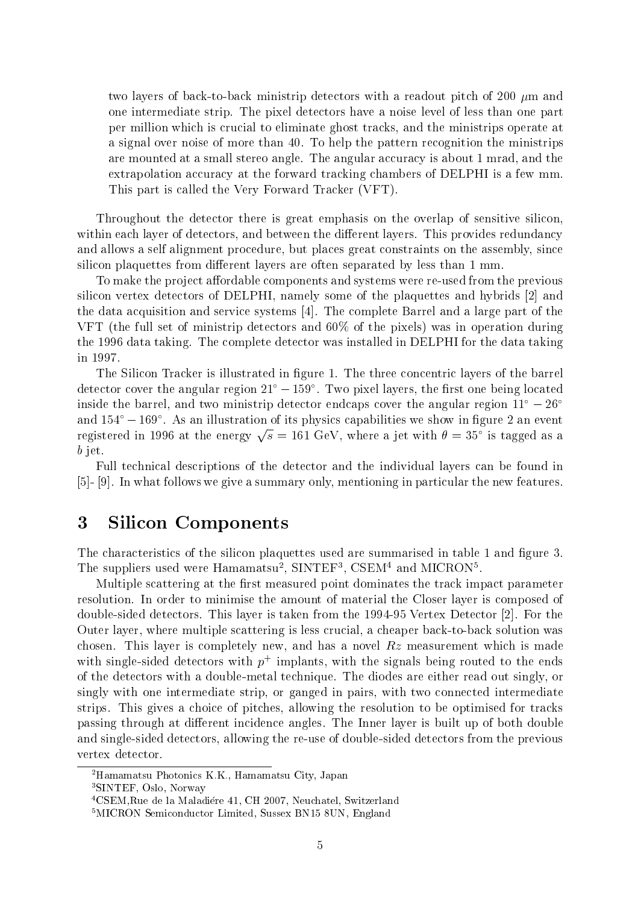two layers of back-to-back ministrip detectors with a readout pitch of 200  $\mu$ m and one intermediate strip. The pixel detectors have a noise level of less than one part per million which is crucial to eliminate ghost tracks, and the ministrips operate at a signal over noise of more than 40. To help the pattern recognition the ministrips are mounted ata small stereo angle. The angular accuracy is about 1 mrad, and the extrapolation accuracy at the forward tracking chambers of DELPHI is a few mm. This part is called the Very Forward Tracker (VFT).

Throughout the detector there is great emphasis on the overlap of sensitive silicon, within each layer of detectors, and between the different layers. This provides redundancy and allows a self alignment procedure, but places great constraints on the assembly, since silicon plaquettes from different layers are often separated by less than 1 mm.

To make the project affordable components and systems were re-used from the previous silicon vertex detectors of DELPHI, namely some of the plaquettes and hybrids [2] and the data acquisition and service systems [4]. The complete Barrel and a large part of the VFT (the full set of ministrip detectors and 60% of the pixels) was in operation during the 1996 data taking. The complete detector was installed in DELPHI for the data taking in 1997.

The Silicon Tracker is illustrated in figure 1. The three concentric layers of the barrel detector cover the angular region  $z_{1\parallel}=$  159  $\perp$  1 wo pixel layers, the first one being located inside the barrel, and two ministrip detector endcaps cover the angular region  $11^{\circ} - 26^{\circ}$ and 154  $\,$   $-$  109  $\,$  . As an inustration of its physics capabilities we show in ligure 2 an event registered in 1996 at the energy  $\sqrt{s} = 161$  GeV, where a jet with  $\theta = 35^{\circ}$  is tagged as a b jet.

Full technical descriptions of the detector and the individual layers can be found in [5]- [9]. In what follows we give a summary only, mentioning in particular the new features.

#### 3 Silicon Components 3

The characteristics of the silicon plaquettes used are summarised in table 1 and figure 3. The suppliers used were Hamamatsu<sup>-</sup>, SINTEF<sup>-</sup>, CSEM<sup>-</sup> and MICRON<sup>-</sup>.

Multiple scattering at the first measured point dominates the track impact parameter resolution. In order to minimise the amount of material the Closer layer is composed of double-sided detectors. This layer is taken from the 1994-95 Vertex Detector [2]. For the Outer layer, where multiple scattering is less crucial, a cheaper back-to-back solution was chosen. This layer is completely new, and has a novel  $Rz$  measurement which is made with single-sided detectors with  $p+$  implants, with the signals being routed to the ends of the detectors with a double-metal technique. The diodes are either read out singly, or singly with one intermediate strip, or ganged in pairs, with two connected intermediate strips. This gives a choice of pitches, allowing the resolution to be optimised for tracks passing through at different incidence angles. The Inner layer is built up of both double and single-sided detectors, allowing the re-use of double-sided detectors from the previous vertex detector.

<sup>2</sup>Hamamatsu Photonics K.K., Hamamatsu City, Japan

<sup>3</sup>SINTEF, Oslo, Norway

<sup>4</sup>CSEM,Rue de la Maladiere 41, CH 2007, Neuchatel, Switzerland

<sup>5</sup>MICRON Semiconductor Limited, Sussex BN15 8UN, England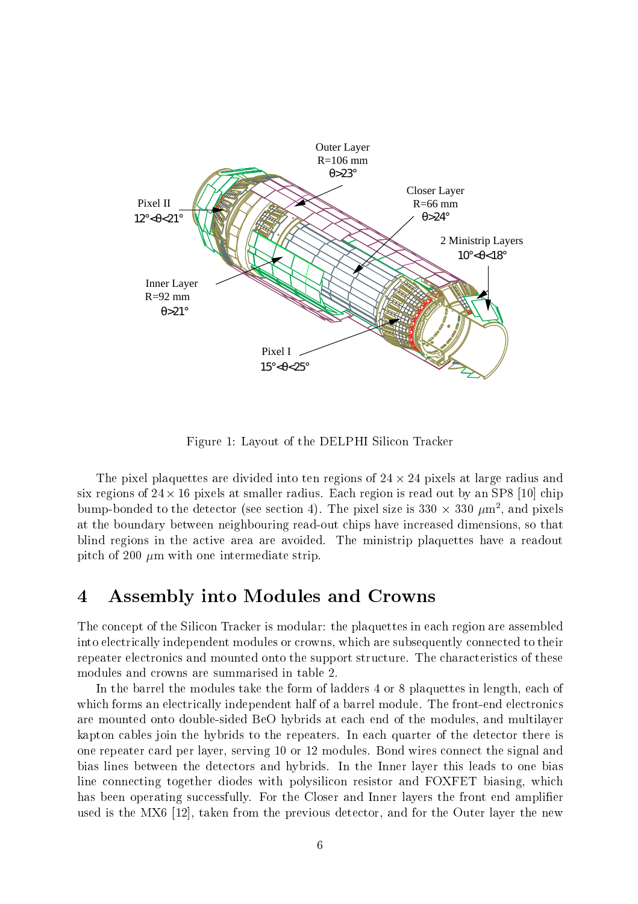

Figure 1: Layout of the DELPHI Silicon Tracker

The pixel plaquettes are divided into ten regions of 24 - 24 pixels at large radius and six regions of 24 - 16 pixels at smaller radius. Each region is ready and sprogram is ready and  $\sim$ bump-bonded to the detector (see section 4). The pixel size is 550  $\times$  550  $\mu$ m-, and pixels at the boundary between neighbouring read-out chips have increased dimensions, so that blind regions in the active area are avoided. The ministrip plaquettes have a readout pitch of 200  $\mu$ m with one intermediate strip.

#### 4 Assembly into Modules and Crowns  $\boldsymbol{4}$

The concept of the Silicon Tracker is modular: the plaquettes in each region are assembled into electrically independent modules or crowns, which are subsequently connected to their repeater electronics and mounted onto the support structure. The characteristics of these modules and crowns are summarised in table 2.

In the barrel the modules take the form of ladders 4 or 8 plaquettes in length, each of which forms an electrically independent half of a barrel module. The front-end electronics are mounted onto double-sided BeO hybrids at each end of the modules, and multilayer kapton cables join the hybrids to the repeaters. In each quarter of the detector there is one repeater card per layer, serving 10 or 12 modules. Bond wires connect the signal and bias lines between the detectors and hybrids. In the Inner layer this leads to one bias line connecting together diodes with polysilicon resistor and FOXFET biasing, which has been operating successfully. For the Closer and Inner layers the front end amplifier used is the MX6 [12], taken from the previous detector, and for the Outer layer the new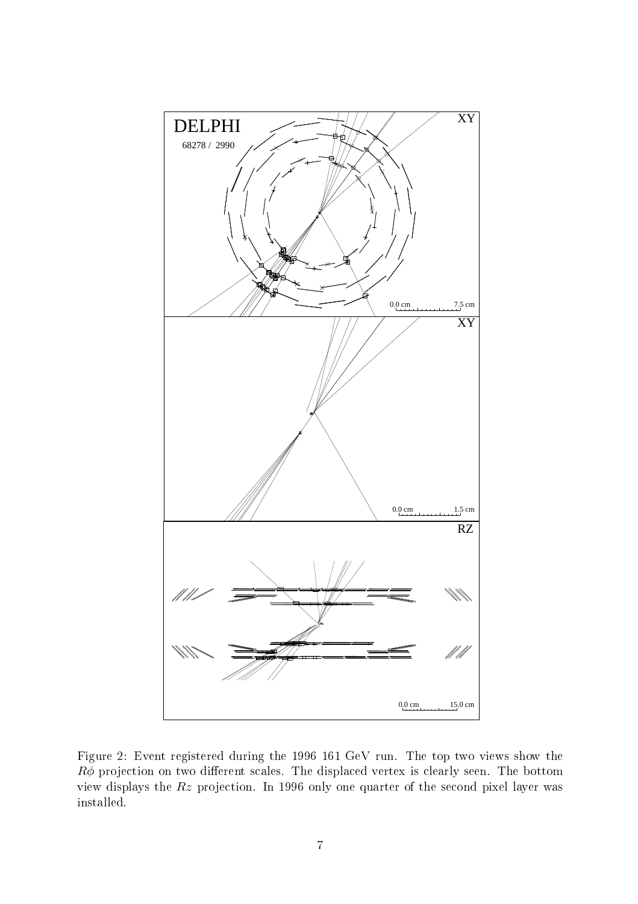

Figure 2: Event registered during the 1996 161 GeV run. The top two views show the R pro jection on two dierent scales. The displaced vertex is clearly seen. The bottom view displays the  $Rz$  projection. In 1996 only one quarter of the second pixel layer was installed.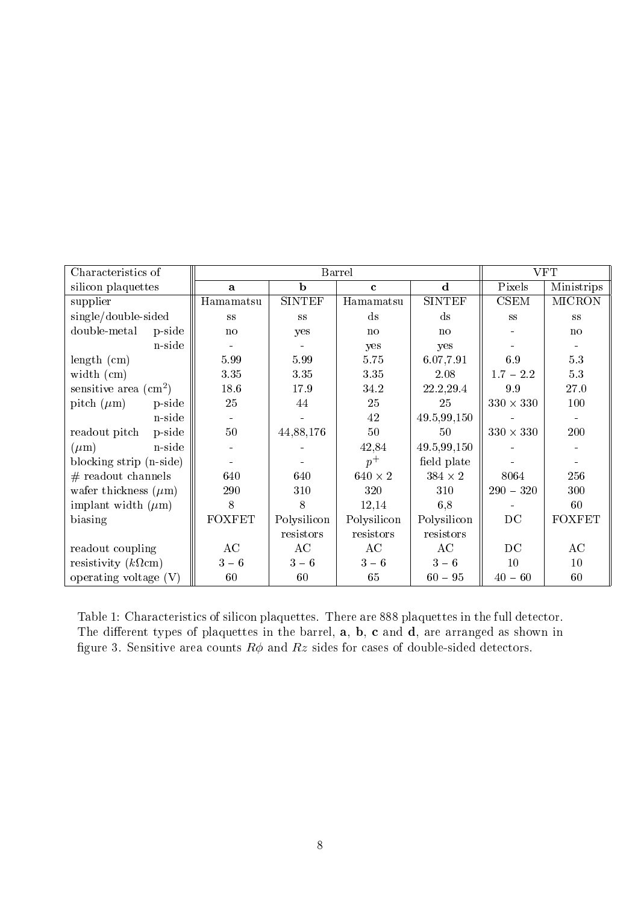| Characteristics of                    |        |               | <b>Barrel</b> | <b>VFT</b>             |                        |                  |               |
|---------------------------------------|--------|---------------|---------------|------------------------|------------------------|------------------|---------------|
| silicon plaquettes                    |        | $\mathbf{a}$  | $\mathbf b$   | $\mathbf c$            | $\mathbf d$            | Pixels           | Ministrips    |
| supplier                              |        | Hamamatsu     | <b>SINTEF</b> | Hamamatsu              | <b>SINTEF</b>          | <b>CSEM</b>      | <b>MICRON</b> |
| single/double-sided                   |        | SS            | SS            | $\mathrm{d}\mathrm{s}$ | $\mathrm{d}\mathrm{s}$ | SS.              | SS.           |
| double-metal                          | p-side | no            | yes           | no                     | no                     |                  | $\mathbf{n}$  |
|                                       | n-side |               |               | yes                    | yes                    |                  |               |
| length (cm)                           |        | 5.99          | 5.99          | 5.75                   | 6.07,7.91              | 6.9              | $5.3\,$       |
| width $(cm)$                          |        | 3.35          | 3.35          | 3.35                   | 2.08                   | $1.7 - 2.2$      | 5.3           |
| sensitive area $\text{(cm}^2\text{)}$ |        | 18.6          | 17.9          | 34.2                   | 22.2,29.4              | 9.9              | 27.0          |
| pitch $(\mu m)$                       | p-side | 25            | 44            | 25                     | 25                     | $330 \times 330$ | 100           |
|                                       | n-side |               |               | 42                     | 49.5,99,150            |                  |               |
| readout pitch                         | p-side | 50            | 44,88,176     | 50                     | 50                     | $330 \times 330$ | 200           |
| $(\mu m)$                             | n-side |               |               | 42,84                  | 49.5,99,150            |                  |               |
| blocking strip (n-side)               |        |               |               | $p^+$                  | field plate            |                  |               |
| $#$ readout channels                  |        | 640           | 640           | $640 \times 2$         | $384 \times 2$         | 8064             | 256           |
| wafer thickness $(\mu m)$             |        | 290           | 310           | 320                    | 310                    | $290 - 320$      | 300           |
| implant width $(\mu m)$               |        | 8             | 8             | 12,14                  | 6,8                    |                  | 60            |
| biasing                               |        | <b>FOXFET</b> | Polysilicon   | Polysilicon            | Polysilicon            | DC               | <b>FOXFET</b> |
|                                       |        |               | resistors     | resistors              | resistors              |                  |               |
| readout coupling                      |        | AC            | AC            | AC                     | AC                     | DC               | AC            |
| resistivity $(k\Omega \text{cm})$     |        | $3-6$         | $3-6$         | $3 - 6$                | $3-6$                  | 10               | 10            |
| operating voltage $(V)$               |        | 60            | 60            | 65                     | $60 - 95$              | $40 - 60$        | 60            |

Table 1: Characteristics of silicon plaquettes. There are 888 plaquettes in the full detector. The different types of plaquettes in the barrel,  $a, b, c$  and  $d,$  are arranged as shown in figure 3. Sensitive area counts  $R\phi$  and  $Rz$  sides for cases of double-sided detectors.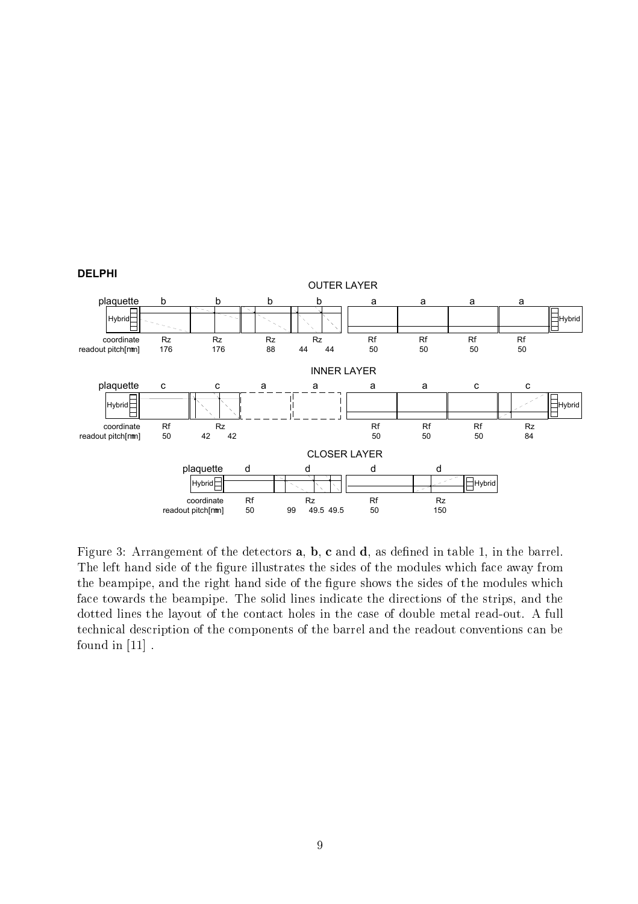

Figure 3: Arrangement of the detectors  $a, b, c$  and  $d$ , as defined in table 1, in the barrel. The left hand side of the figure illustrates the sides of the modules which face away from the beampipe, and the right hand side of the figure shows the sides of the modules which face towards the beampipe. The solid lines indicate the directions of the strips, and the dotted lines the layout of the contact holes in the case of double metal read-out. A full technical description of the components of the barrel and the readout conventions can be found in  $[11]$ .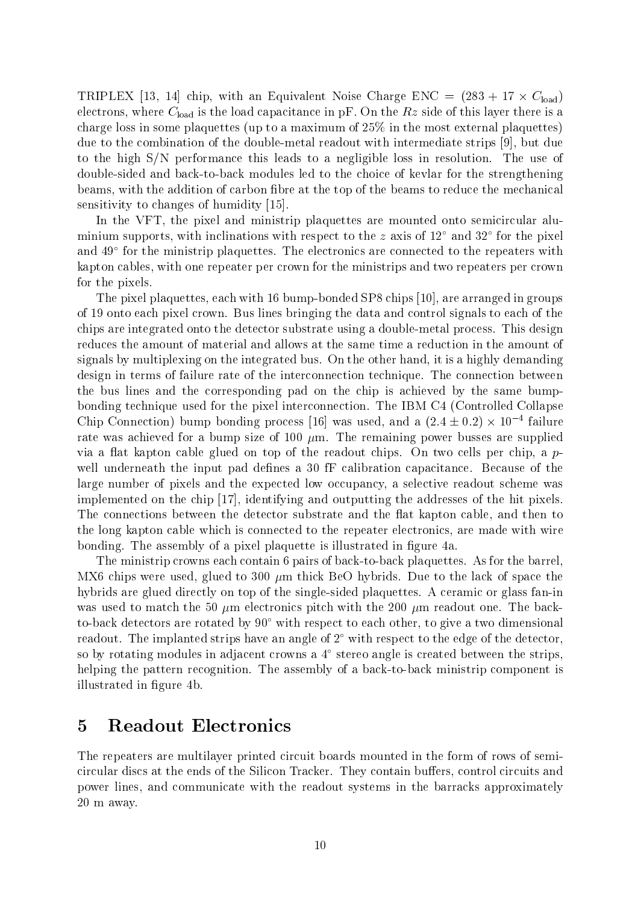TRIPLEX IN TRIPLEX IN THE REPORT OF THE CHARGE CHARGE CHARGE ENCOURAGE IN THE LIST OF THE CONTROL OF THE CONTROL OF THE CHARGE THROUGH THE CHARGE THROUGH THE CHARGE THROUGH THE CONTROL OF THE CHARGE THROUGH THE CHARGE THRO electrons, where  $C_{load}$  is the load capacitance in pF. On the  $Rz$  side of this layer there is a charge loss in some plaquettes (up to a maximum of 25% in the most external plaquettes) due to the combination of the double-metal readout with intermediate strips [9], but due to the high S/N performance this leads to a negligible loss in resolution. The use of double-sided and back-to-back modules led to the choice of kevlar for the strengthening beams, with the addition of carbon fibre at the top of the beams to reduce the mechanical sensitivity to changes of humidity [15].

In the VFT, the pixel and ministrip plaquettes are mounted onto semicircular aluminium supports, with inclinations with respect to the  $z$  axis of 12 and 32 for the pixel  $\,$ and 49 for the ministrip plaquettes. The electronics are connected to the repeaters with kapton cables, with one repeater per crown for the ministrips and two repeaters per crown for the pixels.

The pixel plaquettes, each with 16 bump-bonded SP8 chips [10], are arranged in groups of 19 onto each pixel crown. Bus lines bringing the data and control signals to each of the chips are integrated onto the detector substrate using a double-metal process. This design reduces the amount of material and allows at the same time a reduction in the amount of signals by multiplexing on the integrated bus. On the other hand, it is a highly demanding design in terms of failure rate of the interconnection technique. The connection between the bus lines and the corresponding pad on the chip is achieved by the same bumpbonding technique used for the pixel interconnection. The IBM C4 (Controlled Collapse Chip Connection) bump bonding process [16] was used, and a (2.4  $\pm$  0.2)  $\times$  10  $^{-1}$  failure rate was achieved for a bump size of 100  $\mu$ m. The remaining power busses are supplied via a flat kapton cable glued on top of the readout chips. On two cells per chip, a  $p$ well underneath the input pad defines a 30 fF calibration capacitance. Because of the large number of pixels and the expected low occupancy, a selective readout scheme was implemented on the chip [17], identifying and outputting the addresses of the hit pixels. The connections between the detector substrate and the flat kapton cable, and then to the long kapton cable which is connected to the repeater electronics, are made with wire bonding. The assembly of a pixel plaquette is illustrated in figure 4a.

The ministrip crowns each contain 6 pairs of back-to-back plaquettes. As for the barrel, MX6 chips were used, glued to 300  $\mu$ m thick BeO hybrids. Due to the lack of space the hybrids are glued directly on top of the single-sided plaquettes. A ceramic or glass fan-in was used to match the 50  $\mu$ m electronics pitch with the 200  $\mu$ m readout one. The backto-back detectors are rotated by  $90^{\circ}$  with respect to each other, to give a two dimensional readout. The implanted strips have an angle of  $2^{\circ}$  with respect to the edge of the detector, so by rotating modules in adjacent crowns a  $4^{\circ}$  stereo angle is created between the strips, helping the pattern recognition. The assembly of a back-to-back ministrip component is illustrated in figure 4b.

### 5 Readout Electronics  $\overline{5}$

The repeaters are multilayer printed circuit boards mounted in the form of rows of semicircular discs at the ends of the Silicon Tracker. They contain buffers, control circuits and power lines, and communicate with the readout systems in the barracks approximately 20 m away.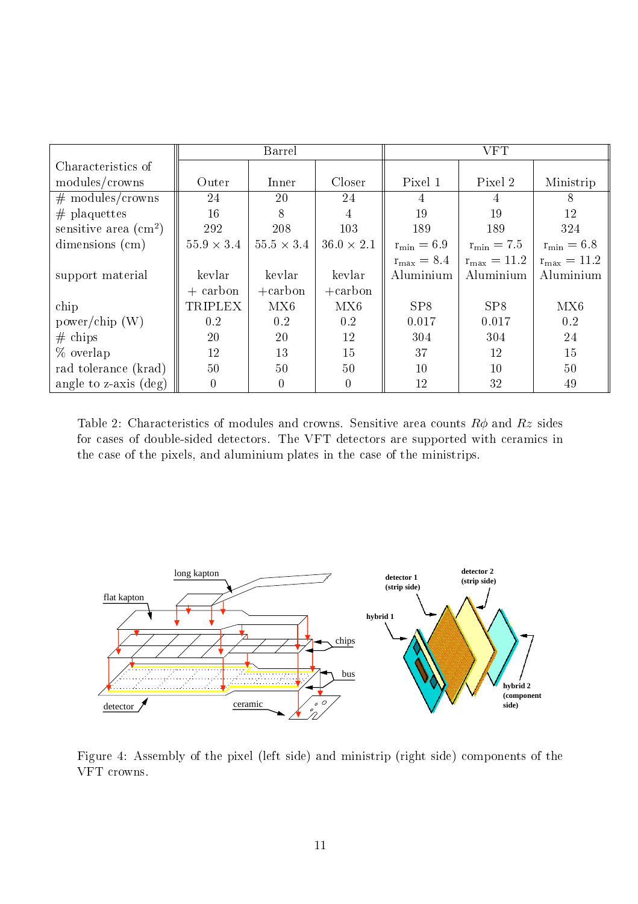|                                       | <b>Barrel</b>     |                   |                   | <b>VFT</b>             |                      |                         |  |
|---------------------------------------|-------------------|-------------------|-------------------|------------------------|----------------------|-------------------------|--|
| Characteristics of                    |                   |                   |                   |                        |                      |                         |  |
| modules/crowns                        | Outer             | Inner             | Closer            | Pixel 1                | Pixel 2              | Ministrip               |  |
| $#$ modules/crowns                    | 24                | 20                | 24                | 4                      |                      | 8                       |  |
| $#$ plaquettes                        | 16                | 8                 | 4                 | 19                     | 19                   | 12                      |  |
| sensitive area $\text{(cm}^2\text{)}$ | 292               | 208               | 103               | 189                    | 189                  | 324                     |  |
| dimensions (cm)                       | $55.9 \times 3.4$ | $55.5 \times 3.4$ | $36.0 \times 2.1$ | $r_{\rm min}=6.9$      | $r_{\min} = 7.5$     | $r_{\rm min}=6.8$       |  |
|                                       |                   |                   |                   | $r_{\text{max}} = 8.4$ | $r_{\rm max} = 11.2$ | $r_{\text{max}} = 11.2$ |  |
| support material                      | kevlar            | kevlar            | kevlar            | Aluminium              | Aluminium            | Aluminium               |  |
|                                       | $+$ carbon        | $+$ carbon        | $+$ carbon        |                        |                      |                         |  |
| chip                                  | TRIPLEX           | MX6               | MX6               | SP8                    | SP8                  | MX6                     |  |
| power/chip (W)                        | 0.2               | 0.2               | 0.2               | 0.017                  | 0.017                | 0.2                     |  |
| $#$ chips                             | 20                | 20                | 12                | 304                    | 304                  | 24                      |  |
| $%$ overlap                           | 12                | 13                | 15                | 37                     | 12                   | 15                      |  |
| rad tolerance (krad)                  | 50                | 50                | 50                | 10                     | 10                   | 50                      |  |
| angle to $z$ -axis $(\text{deg})$     | $\Omega$          | 0                 | $\Omega$          | 12                     | 32                   | 49                      |  |

Table 2: Characteristics of modules and crowns. Sensitive area counts  $R\phi$  and  $Rz$  sides for cases of double-sided detectors. The VFT detectors are supported with ceramics in the case of the pixels, and aluminium plates in the case of the ministrips.



Figure 4: Assembly of the pixel (left side) and ministrip (right side) components of the VFT crowns.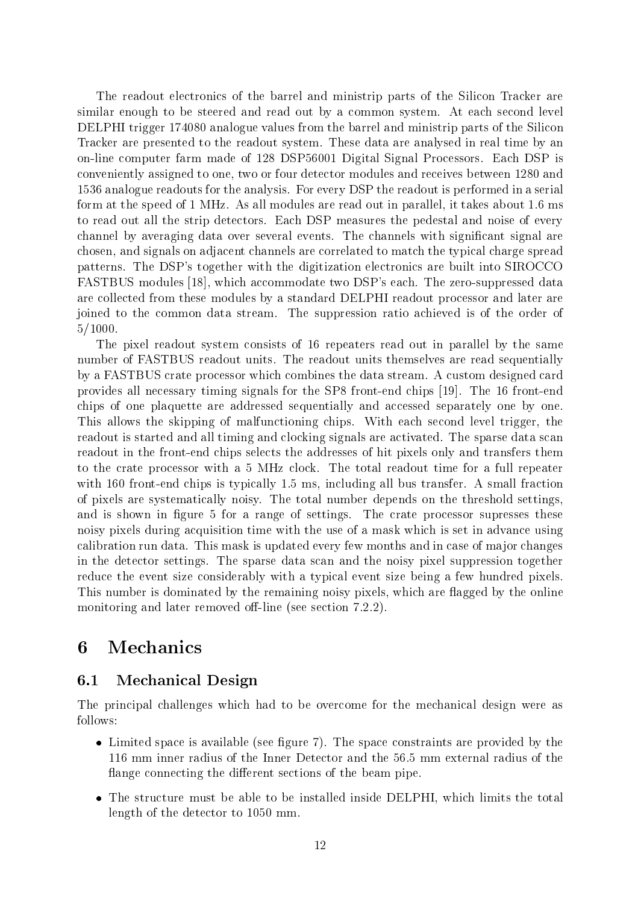The readout electronics of the barrel and ministrip parts of the Silicon Tracker are similar enough to be steered and read out by a common system. At each second level DELPHI trigger 174080 analogue values from the barrel and ministrip parts of the Silicon Tracker are presented to the readout system. These data are analysed in real time by an on-line computer farm made of 128 DSP56001 Digital Signal Processors. Each DSP is conveniently assigned to one, two or four detector modules and receives between 1280 and 1536 analogue readouts for the analysis. For every DSP the readout is performed in a serial form at the speed of 1 MHz. As all modules are read out in parallel, it takes about 1.6 ms to read out all the strip detectors. Each DSP measures the pedestal and noise of every channel by averaging data over several events. The channels with signicant signal are chosen, and signals on adjacent channels are correlated to match the typical charge spread patterns. The DSP's together with the digitization electronics are built into SIROCCO FASTBUS modules [18], which accommodate two DSP's each. The zero-suppressed data are collected from these modules by a standard DELPHI readout processor and later are joined to the common data stream. The suppression ratio achieved is of the order of 5/1000.

The pixel readout system consists of 16 repeaters read out in parallel by the same number of FASTBUS readout units. The readout units themselves are read sequentially byaFASTBUS crate processor which combines the data stream. A custom designed card provides all necessary timing signals for the SP8 front-end chips [19]. The 16 front-end chips of one plaquette are addressed sequentially and accessed separately one by one. This allows the skipping of malfunctioning chips. With each second level trigger, the readout is started and all timing and clocking signals are activated. The sparse data scan readout in the front-end chips selects the addresses of hit pixels only and transfers them to the crate processor with a 5 MHz clock. The total readout time for a full repeater with 160 front-end chips is typically 1.5 ms, including all bus transfer. A small fraction of pixels are systematically noisy. The total number depends on the threshold settings, and is shown in figure 5 for a range of settings. The crate processor supresses these noisy pixels during acquisition time with the use of a mask which is set in advance using calibration run data. This mask is updated every few months and in case of major changes in the detector settings. The sparse data scan and the noisy pixel suppression together reduce the event size considerably with a typical event size being a few hundred pixels. This number is dominated by the remaining noisy pixels, which are flagged by the online monitoring and later removed off-line (see section 7.2.2).

# 6 Mechanics

# 6.1 Mechanical Design

The principal challenges which had to be overcome for the mechanical design were as follows:

- $\bullet$  Limited space is available (see figure 7). The space constraints are provided by the 116 mm inner radius of the Inner Detector and the 56.5 mm external radius of the flange connecting the different sections of the beam pipe.
- The structure must be able to be installed inside DELPHI, which limits the total length of the detector to 1050 mm.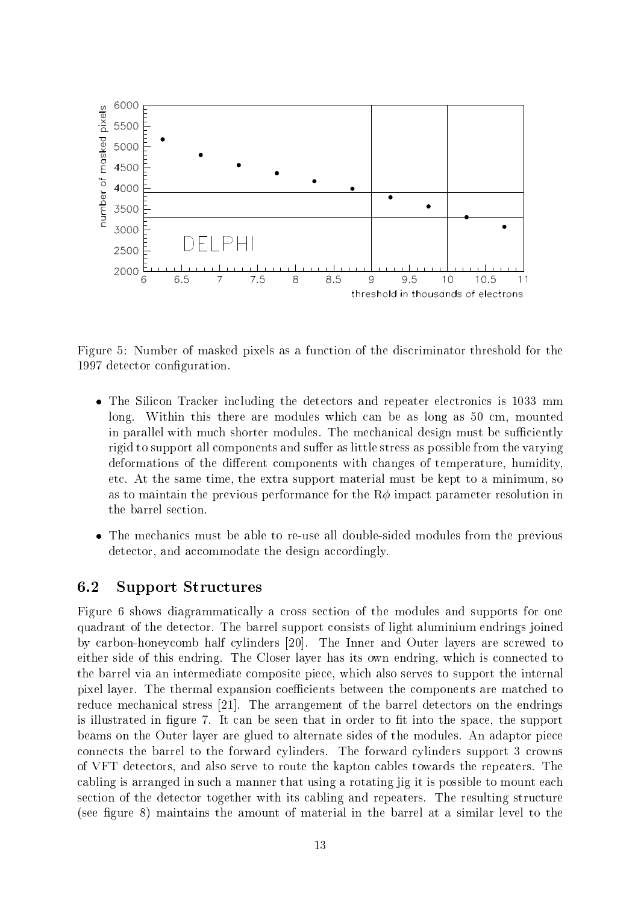

Figure 5: Number of masked pixels as a function of the discriminator threshold for the 1997 detector configuration.

- The Silicon Tracker including the detectors and repeater electronics is 1033 mm long. Within this there are modules which can be as long as 50 cm, mounted in parallel with much shorter modules. The mechanical design must be sufficiently rigid to support all components and suffer as little stress as possible from the varying deformations of the different components with changes of temperature, humidity, etc. At the same time, the extra support material must be kept to a minimum, so as to maintain the previous performance for the  $R\phi$  impact parameter resolution in the barrel section.
- The mechanics must be able to re-use all double-sided modules from the previous detector, and accommodate the design accordingly.

## 6.2 Support Structures

Figure 6 shows diagrammatically a cross section of the modules and supports for one quadrant of the detector. The barrel support consists of light aluminium endrings joined by carbon-honeycomb half cylinders [20]. The Inner and Outer layers are screwed to either side of this endring. The Closer layer has its own endring, which is connected to the barrel via an intermediate composite piece, which also serves to support the internal pixel layer. The thermal expansion coefficients between the components are matched to reduce mechanical stress [21]. The arrangement of the barrel detectors on the endrings is illustrated in figure 7. It can be seen that in order to fit into the space, the support beams on the Outer layer are glued to alternate sides of the modules. An adaptor piece connects the barrel to the forward cylinders. The forward cylinders support 3 crowns of VFT detectors, and also serve to route the kapton cables towards the repeaters. The cabling is arranged in such a manner that using a rotating jig it is possible to mount each section of the detector together with its cabling and repeaters. The resulting structure (see figure 8) maintains the amount of material in the barrel at a similar level to the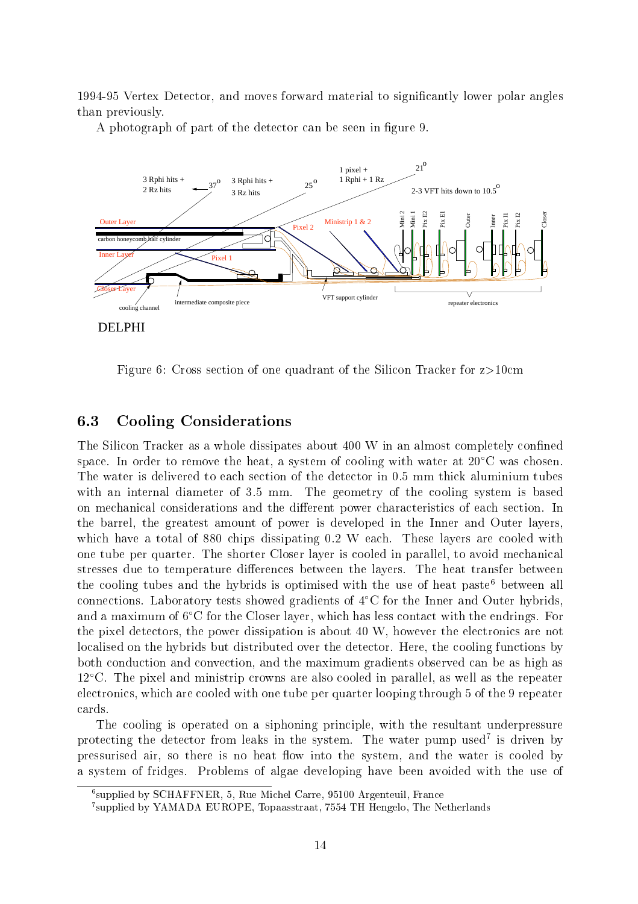1994-95 Vertex Detector, and moves forward material to signicantly lower polar angles than previously.

A photograph of part of the detector can be seen in figure 9.



Figure 6: Cross section of one quadrant of the Silicon Tracker for z>10cm

## 6.3 Cooling Considerations

The Silicon Tracker as a whole dissipates about 400 W in an almost completely confined space. In order to remove the heat, a system of cooling with water at  $20^{\circ}$ C was chosen. The water is delivered to each section of the detector in 0.5 mm thick aluminium tubes with an internal diameter of 3.5 mm. The geometry of the cooling system is based on mechanical considerations and the different power characteristics of each section. In the barrel, the greatest amount of power is developed in the Inner and Outer layers, which have a total of 880 chips dissipating 0.2 W each. These layers are cooled with one tube per quarter. The shorter Closer layer is cooled in parallel, to avoid mechanical stresses due to temperature differences between the layers. The heat transfer between the cooling tubes and the hybrids is optimised with the use of heat paste<sup>6</sup> between all connections. Laboratory tests showed gradients of  $4^{\circ}$ C for the Inner and Outer hybrids, and a maximum of  $\circ$  tor the Closer layer, which has less contact with the endrings. For the pixel detectors, the power dissipation is about 40 W, however the electronics are not localised on the hybrids but distributed over the detector. Here, the cooling functions by both conduction and convection, and the maximum gradients observed can be as high as  $12^{\circ}$ C. The pixel and ministrip crowns are also cooled in parallel, as well as the repeater electronics, which are cooled with one tube per quarter looping through 5 ofthe 9 repeater

The cooling is operated on a siphoning principle, with the resultant underpressure protecting the detector from leaks in the system. The water pump used<sup>7</sup> is driven by pressurised air, so there is no heat flow into the system, and the water is cooled by a system of fridges. Problems of algae developing have been avoided with the use of

<sup>6</sup> supplied by SCHAFFNER, 5, Rue Michel Carre, 95100 Argenteuil, France

<sup>7</sup> supplied by YAMADA EUROPE, Topaasstraat, 7554 TH Hengelo, The Netherlands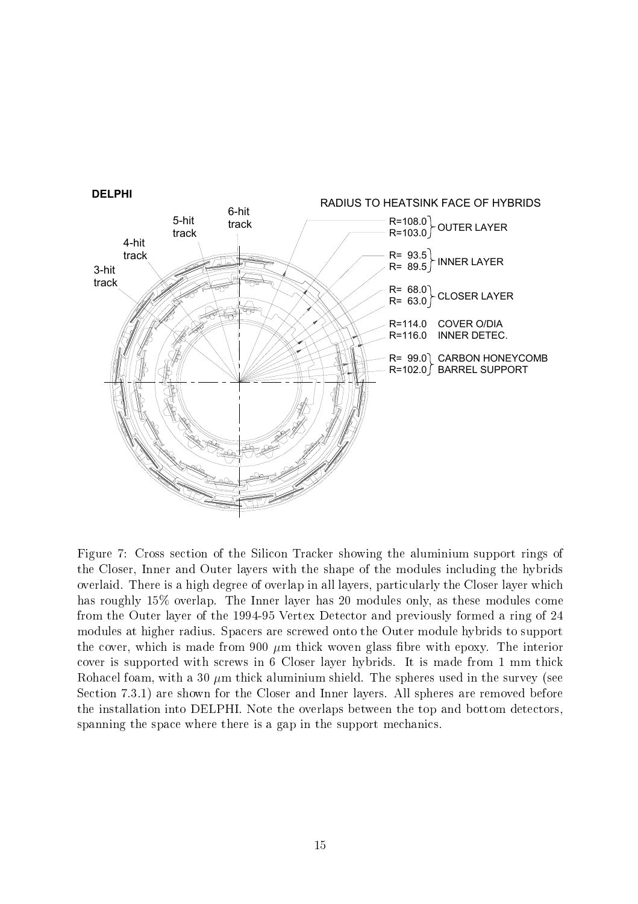

Figure 7: Cross section of the Silicon Tracker showing the aluminium support rings of the Closer, Inner and Outer layers with the shape of the modules including the hybrids overlaid. There is a high degree of overlap in all layers, particularly the Closer layer which has roughly 15% overlap. The Inner layer has 20 modules only, as these modules come from the Outer layer of the 1994-95 Vertex Detector and previously formed a ring of 24 modules at higher radius. Spacers are screwed onto the Outer module hybrids to support the cover, which is made from 900  $\mu$ m thick woven glass fibre with epoxy. The interior cover is supported with screws in 6 Closer layer hybrids. It is made from 1 mm thick Rohacel foam, with a 30  $\mu$ m thick aluminium shield. The spheres used in the survey (see Section 7.3.1) are shown for the Closer and Inner layers. All spheres are removed before the installation into DELPHI. Note the overlaps between the top and bottom detectors, spanning the space where there is a gap in the support mechanics.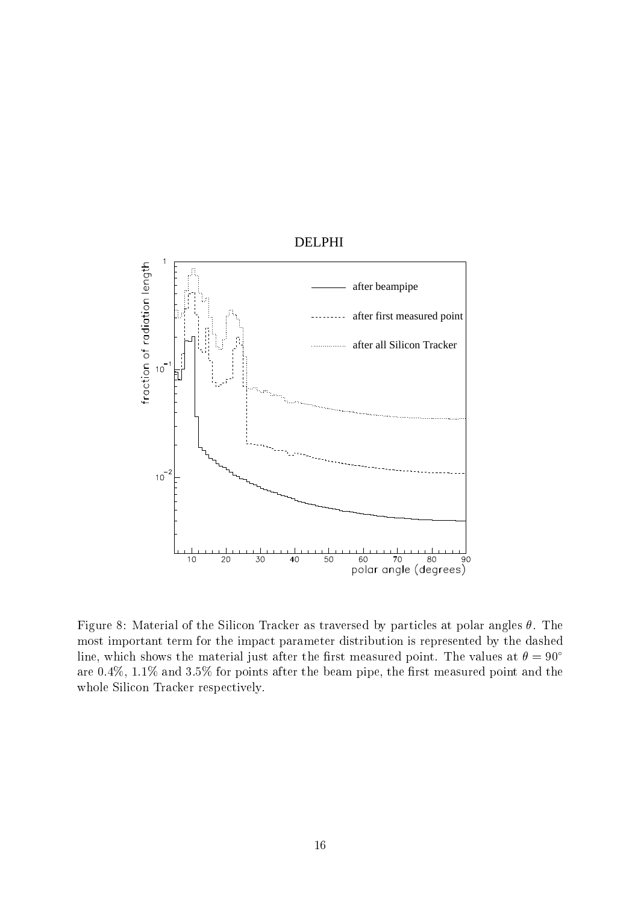

Figure 8: Material of the Silicon Tracker as traversed by particles at polar angles  $\theta$ . The most important term for the impact parameter distribution is represented by the dashed line, which shows the material just after the first measured point. The values at  $\theta = 90^{\circ}$ are  $0.4\%$ ,  $1.1\%$  and  $3.5\%$  for points after the beam pipe, the first measured point and the whole Silicon Tracker respectively.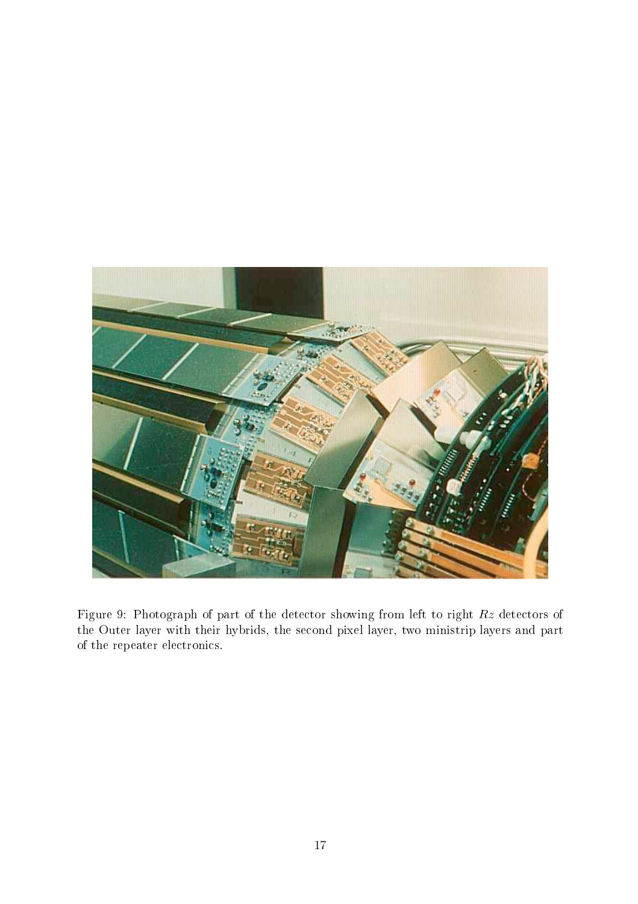

Figure 9: Photograph of part of the detector showing from left to right  $Rz$  detectors of the Outer layer with their hybrids, the second pixel layer, two ministrip layers and part of the repeater electronics.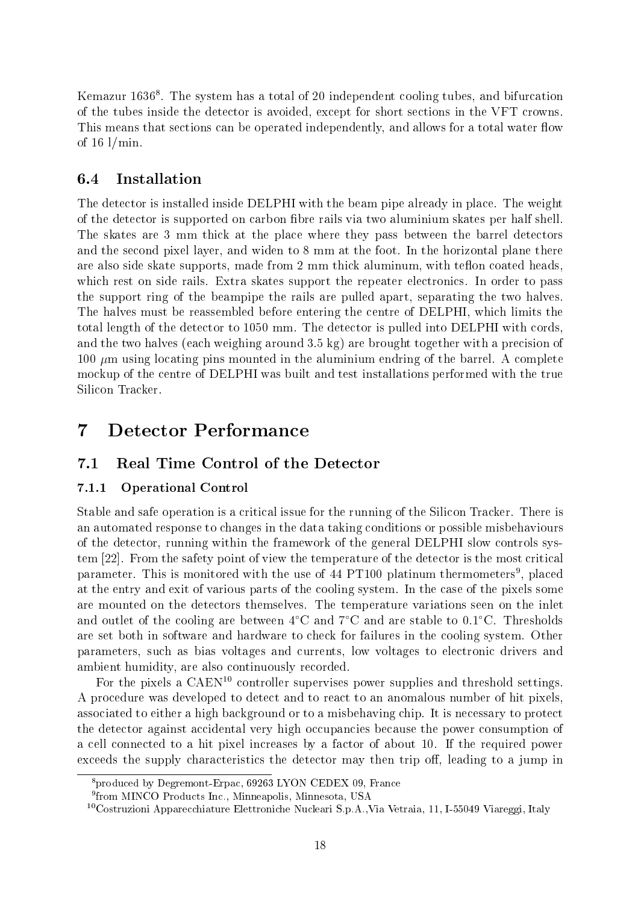Kemazur 16368 . The system has a total of 20 independent cooling tubes, and bifurcation of the tubes inside the detector is avoided, except for short sections in the VFT crowns. This means that sections can be operated independently, and allows for a total water flow of 16 l/min.

#### **Installation** 6.4

The detector is installed inside DELPHI with the beam pipe already in place. The weight of the detector is supported on carbon bre rails via two aluminium skates per half shell. The skates are 3 mm thick at the place where they pass between the barrel detectors and the second pixel layer, and widen to 8 mm at the foot. In the horizontal plane there are also side skate supports, made from 2 mm thick aluminum, with teflon coated heads, which rest on side rails. Extra skates support the repeater electronics. In order to pass the support ring of the beampipe the rails are pulled apart, separating the two halves. The halves must be reassembled before entering the centre of DELPHI, which limits the total length of the detector to 1050 mm. The detector is pulled into DELPHI with cords, and the two halves (each weighing around 3.5 kg) are brought together with a precision of 100  $\mu$ m using locating pins mounted in the aluminium endring of the barrel. A complete mockup of the centre of DELPHI was built and test installations performed with the true Silicon Tracker.

# 7 Detector Performance

# 7.1 Real Time Control of the Detector

## 7.1.1 Operational Control

Stable and safe operation is a critical issue for the running of the Silicon Tracker. There is an automated response to changes in the data taking conditions or possible misbehaviours of the detector, running within the framework of the general DELPHI slow controls system [22]. From the safety point of view the temperature of the detector is the most critical parameter. This is monitored with the use of 44 PT100 platinum thermometers , placed at the entry and exit of various parts of the cooling system. In the case of the pixels some are mounted on the detectors themselves. The temperature variations seen on the inlet and outlet of the cooling are between  $4^{\circ}$ C and  $7^{\circ}$ C and are stable to 0.1 $^{\circ}$ C. Thresholds are set both in software and hardware to check for failures in the cooling system. Other parameters, such as bias voltages and currents, low voltages to electronic drivers and ambient humidity, are also continuously recorded.

For the pixels a CAEN<sup>10</sup> controller supervises power supplies and threshold settings. A procedure was developed to detect and to react to an anomalous number of hit pixels, associated to either a high background or to a misbehaving chip. It is necessary to protect the detector against accidental very high occupancies because the power consumption of a cell connected to a hit pixel increases by a factor of about 10. If the required power exceeds the supply characteristics the detector may then trip off, leading to a jump in

<sup>8</sup>produced by Degremont-Erpac, 69263 LYON CEDEX 09, France

<sup>9</sup> from MINCO Products Inc., Minneapolis, Minnesota, USA

<sup>10</sup>Costruzioni Apparecchiature Elettroniche Nucleari S.p.A.,Via Vetraia, 11, I-55049 Viareggi, Italy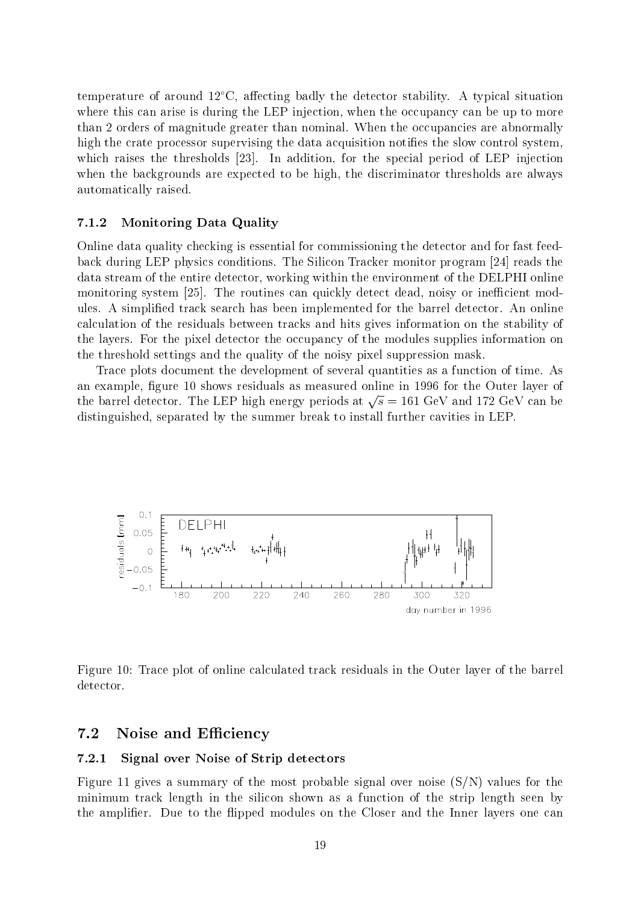temperature of around  $12^{\circ}$ C, affecting badly the detector stability. A typical situation where this can arise is during the LEP injection, when the occupancy can be up to more than 2 orders of magnitude greater than nominal. When the occupancies are abnormally high the crate processor supervising the data acquisition notifies the slow control system, which raises the thresholds [23]. In addition, for the special period of LEP injection when the backgrounds are expected to be high, the discriminator thresholds are always automatically raised.

### 7.1.2 Monitoring Data Quality

Online data quality checking is essential for commissioning the detector and for fast feedback during LEP physics conditions. The Silicon Tracker monitor program [24] reads the data stream of the entire detector, working within the environment of the DELPHI online monitoring system  $[25]$ . The routines can quickly detect dead, noisy or inefficient modules. A simplied track search has been implemented for the barrel detector. An online calculation of the residuals between tracks and hits gives information on the stability of the layers. For the pixel detector the occupancy of the modules supplies information on the threshold settings and the quality of the noisy pixel suppression mask.

Trace plots document the development of several quantities as a function of time. As an example, figure 10 shows residuals as measured online in 1996 for the Outer layer of the barrel detector. The LEP high energy periods at  $\sqrt{s} = 161$  GeV and 172 GeV can be distinguished, separated by the summer break to install further cavities in LEP.



Figure 10: Trace plot of online calculated track residuals in the Outer layer of the barrel detector.

#### $7.2$ Noise and Efficiency

### 7.2.1 Signal over Noise of Strip detectors

Figure 11 gives a summary of the most probable signal over noise (S/N) values for the minimum track length in the silicon shown as a function of the strip length seen by the amplifier. Due to the flipped modules on the Closer and the Inner layers one can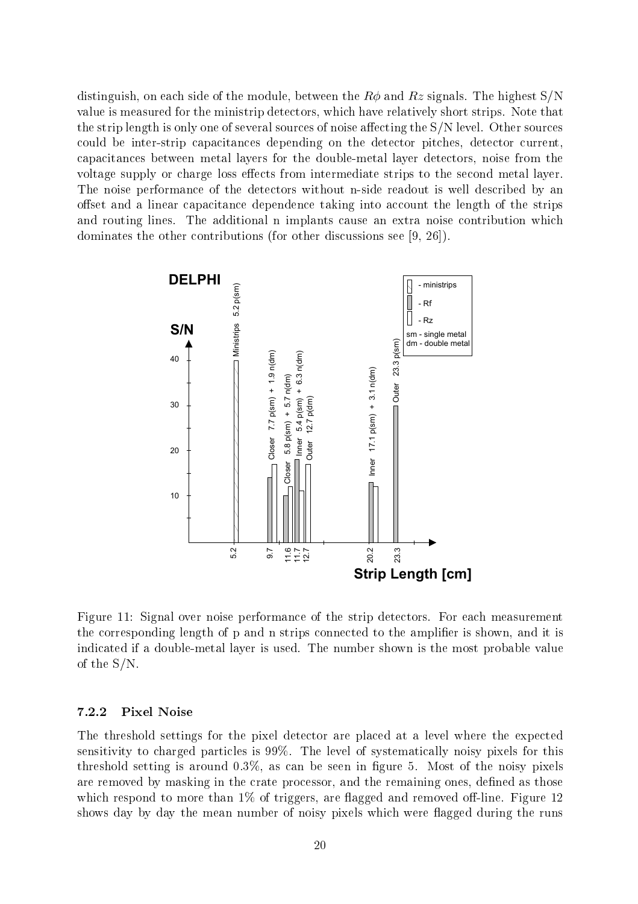distinguish, on each side of the module, between the  $R\phi$  and  $Rz$  signals. The highest S/N value is measured for the ministrip detectors, which have relatively short strips. Note that the strip length is only one of several sources of noise affecting the  $S/N$  level. Other sources could be inter-strip capacitances depending on the detector pitches, detector current, capacitances between metal layers for the double-metal layer detectors, noise from the voltage supply or charge loss effects from intermediate strips to the second metal layer. The noise performance of the detectors without n-side readout is well described by an offset and a linear capacitance dependence taking into account the length of the strips and routing lines. The additional n implants cause an extra noise contribution which dominates the other contributions (for other discussions see [9, 26]).



Figure 11: Signal over noise performance of the strip detectors. For each measurement the corresponding length of p and n strips connected to the amplier is shown, and it is indicated if a double-metal layer is used. The number shown is the most probable value of the S/N.

#### $7.2.2$ Pixel Noise

The threshold settings for the pixel detector are placed at a level where the expected sensitivity to charged particles is 99%. The level of systematically noisy pixels for this threshold setting is around  $0.3\%$ , as can be seen in figure 5. Most of the noisy pixels are removed by masking in the crate processor, and the remaining ones, defined as those which respond to more than  $1\%$  of triggers, are flagged and removed off-line. Figure 12 shows day by day the mean number of noisy pixels which were agged during the runs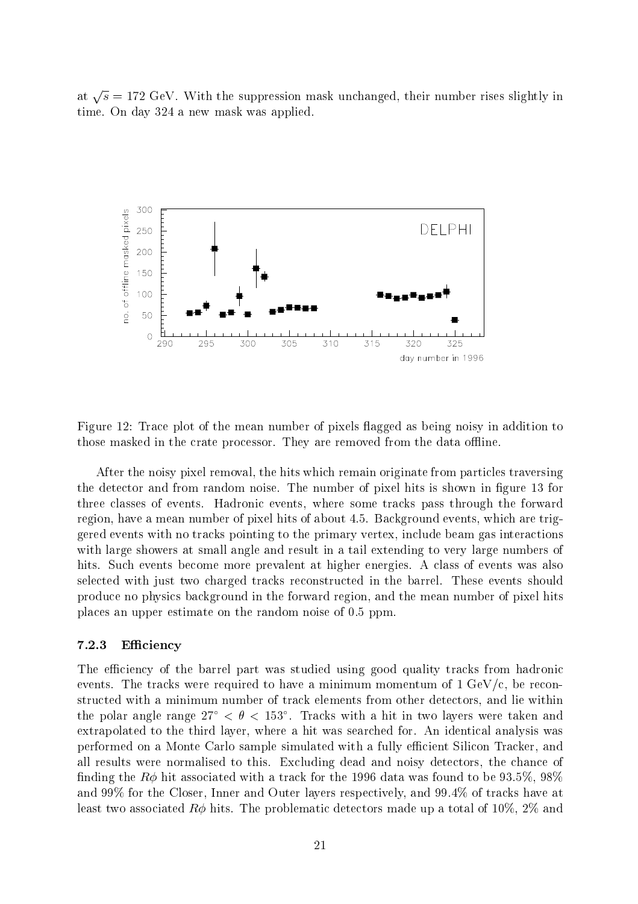at  $\sqrt{s} = 172$  GeV. With the suppression mask unchanged, their number rises slightly in time. On day 324 a new mask was applied.



Figure 12: Trace plot of the mean number of pixels flagged as being noisy in addition to those masked in the crate processor. They are removed from the data offline.

After the noisy pixel removal, the hits which remain originate from particles traversing the detector and from random noise. The number of pixel hits is shown in figure 13 for three classes of events. Hadronic events, where some tracks pass through the forward region, have a mean number of pixel hits of about 4.5. Background events, which are triggered events with no tracks pointing to the primary vertex, include beam gas interactions with large showers at small angle and result in a tail extending to very large numbers of hits. Such events become more prevalent at higher energies. A class of events was also selected with just two charged tracks reconstructed in the barrel. These events should produce no physics background in the forward region, and the mean number of pixel hits places an upper estimate on the random noise of 0.5 ppm.

### 7.2.3 Efficiency

The efficiency of the barrel part was studied using good quality tracks from hadronic events. The tracks were required to have a minimum momentum of  $1 \text{ GeV}/c$ , be reconstructed with a minimum number of track elements from other detectors, and lie within the polar angle range  $27 < b < 135$  . Tracks with a hit in two layers were taken and extrapolated to the third layer, where a hit was searched for. An identical analysis was performed on a Monte Carlo sample simulated with a fully efficient Silicon Tracker, and all results were normalised to this. Excluding dead and noisy detectors, the chance of finding the  $R\phi$  hit associated with a track for the 1996 data was found to be 93.5%, 98% and 99% for the Closer, Inner and Outer layers respectively, and 99.4% of tracks have at least two associated  $R\phi$  hits. The problematic detectors made up a total of 10%, 2% and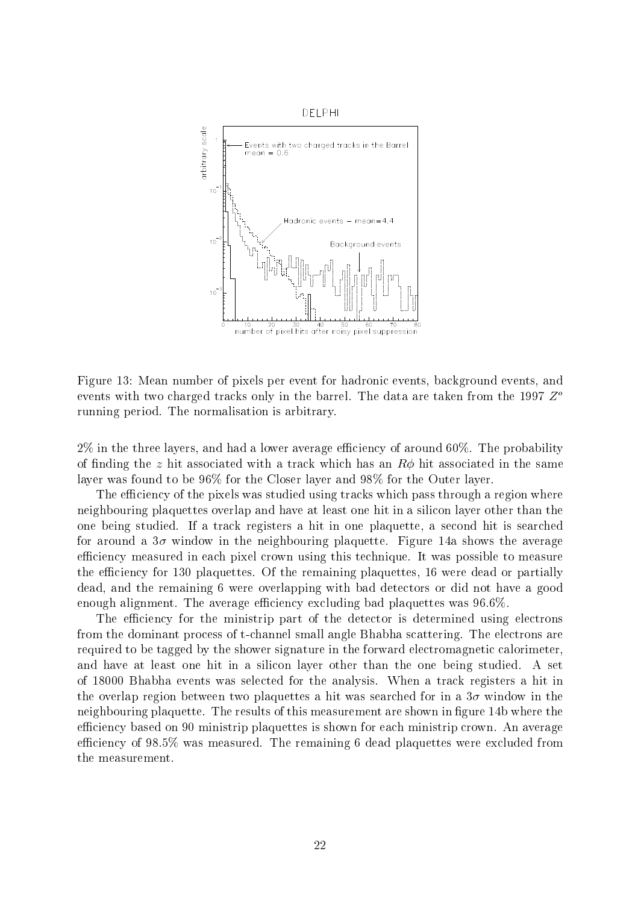

Figure 13: Mean number of pixels per event for hadronic events, background events, and events with two charged tracks only in the barrel. The data are taken from the 1997  $Z^{\circ}$ running period. The normalisation is arbitrary.

 $2\%$  in the three layers, and had a lower average efficiency of around 60%. The probability of finding the z hit associated with a track which has an  $R\phi$  hit associated in the same layer was found to be 96% for the Closer layer and 98% for the Outer layer.

The efficiency of the pixels was studied using tracks which pass through a region where neighbouring plaquettes overlap and have at least one hit in a silicon layer other than the one being studied. If a track registers a hit in one plaquette, a second hit is searched for around a  $3\sigma$  window in the neighbouring plaquette. Figure 14a shows the average efficiency measured in each pixel crown using this technique. It was possible to measure the efficiency for 130 plaquettes. Of the remaining plaquettes, 16 were dead or partially dead, and the remaining 6 were overlapping with bad detectors or did not have a good enough alignment. The average efficiency excluding bad plaquettes was 96.6%.

The efficiency for the ministrip part of the detector is determined using electrons from the dominant process of t-channel small angle Bhabha scattering. The electrons are required to be tagged by the shower signature in the forward electromagnetic calorimeter, and have at least one hit in a silicon layer other than the one being studied. A set of 18000 Bhabha events was selected for the analysis. When a track registers a hit in the overlap region between two plaquettes a hit was searched for in a  $3\sigma$  window in the neighbouring plaquette. The results of this measurement are shown in figure 14b where the efficiency based on 90 ministrip plaquettes is shown for each ministrip crown. An average efficiency of  $98.5\%$  was measured. The remaining 6 dead plaquettes were excluded from the measurement.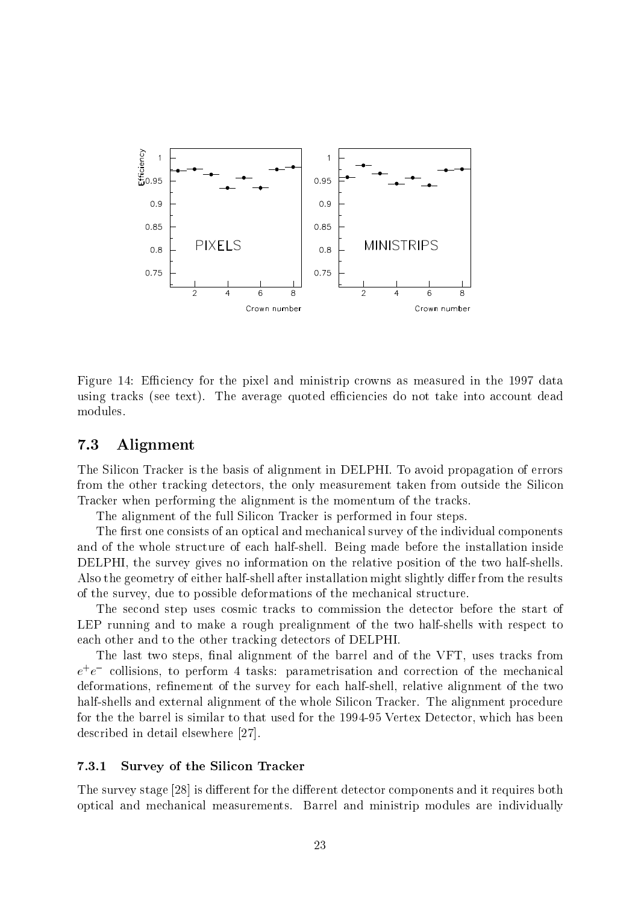

Figure 14: Efficiency for the pixel and ministrip crowns as measured in the 1997 data using tracks (see text). The average quoted efficiencies do not take into account dead modules.

## 7.3 Alignment

The Silicon Tracker is the basis of alignment in DELPHI. To avoid propagation of errors from the other tracking detectors, the only measurement taken from outside the Silicon Tracker when performing the alignment is the momentum of the tracks.

The alignment of the full Silicon Tracker is performed in four steps.

The first one consists of an optical and mechanical survey of the individual components and of the whole structure of each half-shell. Being made before the installation inside DELPHI, the survey gives no information on the relative position of the two half-shells. Also the geometry of either half-shell after installation might slightly differ from the results of the survey, due to possible deformations of the mechanical structure.

The second step uses cosmic tracks to commission the detector before the start of LEP running and to make a rough prealignment of the two half-shells with respect to each other and to the other tracking detectors of DELPHI.

The last two steps, final alignment of the barrel and of the VFT, uses tracks from  $e^+e^-$  collisions, to perform 4 tasks: parametrisation and correction of the mechanical  $\,$ deformations, refinement of the survey for each half-shell, relative alignment of the two half-shells and external alignment of the whole Silicon Tracker. The alignment procedure for the the barrel is similar to that used for the 1994-95 Vertex Detector, which has been described in detail elsewhere [27].

### 7.3.1 Survey of the Silicon Tracker

The survey stage [28] is different for the different detector components and it requires both optical and mechanical measurements. Barrel and ministrip modules are individually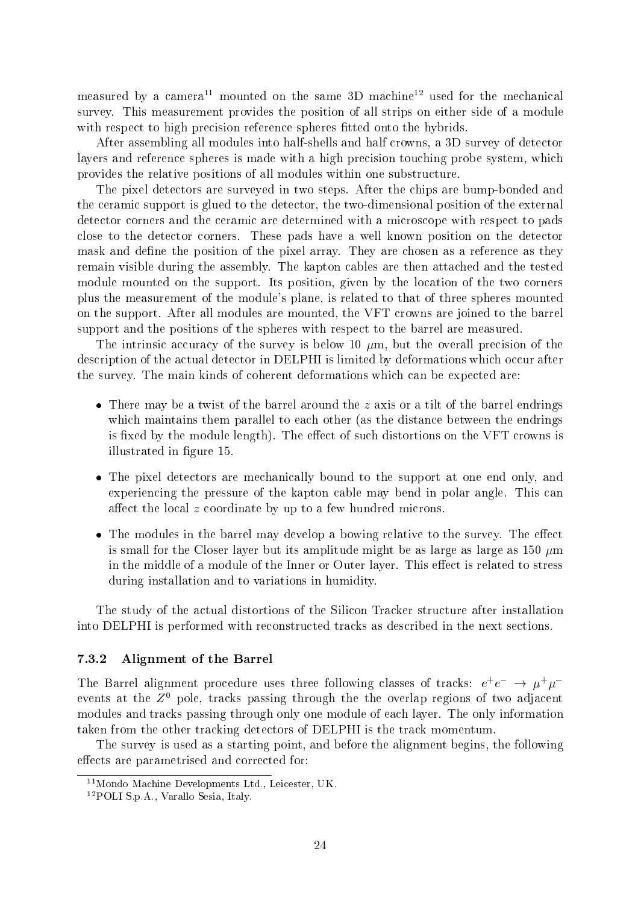measured by a camera<sup>11</sup> mounted on the same 3D machine<sup>12</sup> used for the mechanical survey. This measurement provides the position of all strips on either side of a module with respect to high precision reference spheres fitted onto the hybrids.

After assembling all modules into half-shells and half crowns, a 3D survey of detector layers and reference spheres is made with a high precision touching probe system, which provides the relative positions of all modules within one substructure.

The pixel detectors are surveyed in two steps. After the chips are bump-bonded and the ceramic support is glued to the detector, the two-dimensional position of the external detector corners and the ceramic are determined with a microscope with respect to pads close to the detector corners. These pads have a well known position on the detector mask and define the position of the pixel array. They are chosen as a reference as they remain visible during the assembly. The kapton cables are then attached and the tested module mounted on the support. Its position, given by the location of the two corners plus the measurement of the module's plane, is related to that of three spheres mounted on the support. After all modules are mounted, the VFT crowns are joined to the barrel support and the positions of the spheres with respect to the barrel are measured.

The intrinsic accuracy of the survey is below 10  $\mu$ m, but the overall precision of the description of the actual detector in DELPHI is limited by deformations which occur after the survey. The main kinds of coherent deformations which can be expected are:

- $\bullet$  There may be a twist of the barrel around the z axis or a tilt of the barrel endrings which maintains them parallel to each other (as the distance between the endrings is fixed by the module length). The effect of such distortions on the  $VFT$  crowns is illustrated in figure 15.
- The pixel detectors are mechanically bound to the support at one end only, and experiencing the pressure of the kapton cable may bend in polar angle. This can affect the local  $z$  coordinate by up to a few hundred microns.
- The modules in the barrel may develop a bowing relative to the survey. The effect is small for the Closer layer but its amplitude might be as large as large as 150  $\mu$ m in the middle of a module of the Inner or Outer layer. This effect is related to stress during installation and to variations in humidity.

The study of the actual distortions of the Silicon Tracker structure after installation into DELPHI is performed with reconstructed tracks as described in the next sections.

## 7.3.2 Alignment of the Barrel

The Barrel alignment procedure uses three following classes of tracks:  $e^+e^-\to u^+\bar u$ events at the  $Z^0$  pole, tracks passing through the the overlap regions of two adjacent modules and tracks passing through only one module of each layer. The only information taken from the other tracking detectors of DELPHI is the track momentum.

The survey is used as a starting point, and before the alignment begins, the following effects are parametrised and corrected for:

<sup>11</sup>Mondo Machine Developments Ltd., Leicester, UK.

<sup>12</sup>POLI S.p.A., Varallo Sesia, Italy.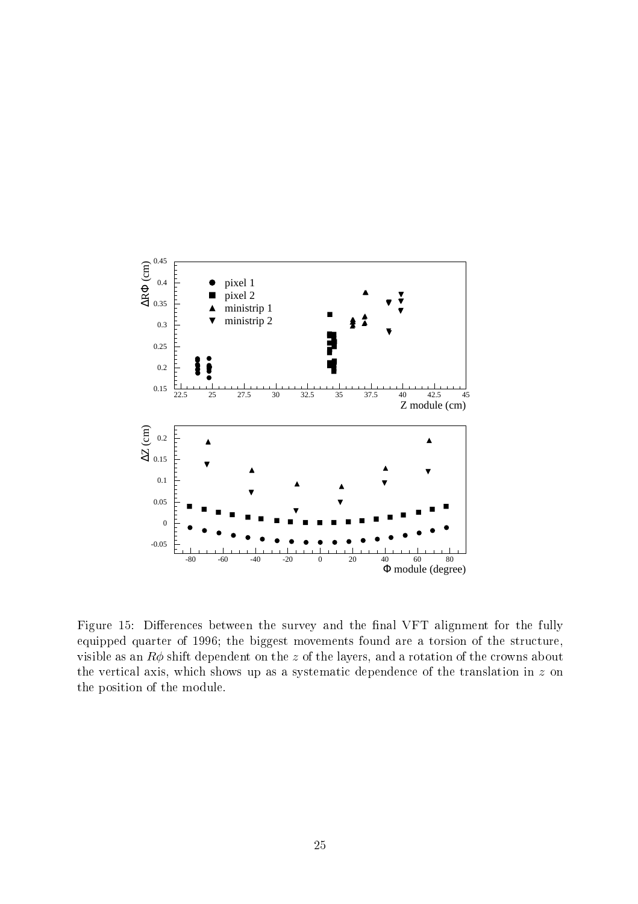

Figure 15: Differences between the survey and the final VFT alignment for the fully equipped quarter of 1996; the biggest movements found are a torsion of the structure, visible as an  $R\phi$  shift dependent on the z of the layers, and a rotation of the crowns about the vertical axis, which shows up as a systematic dependence of the translation in <sup>z</sup> on the position of the module.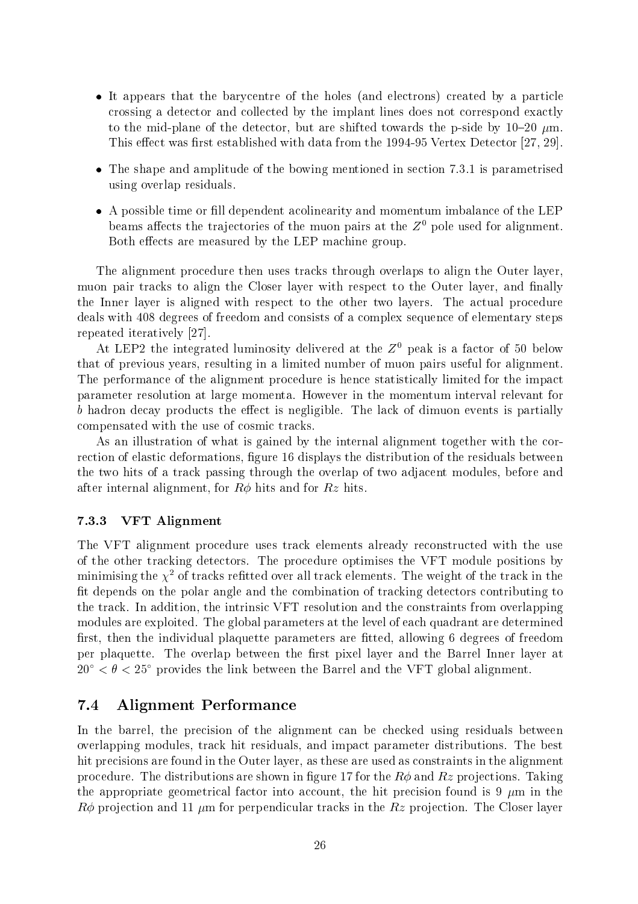- It appears that the barycentre of the holes (and electrons) created by a particle crossing a detector and collected by the implant lines does not correspond exactly to the mid-plane of the detector, but are shifted towards the p-side by  $10{-}20 \mu m$ . This effect was first established with data from the 1994-95 Vertex Detector [27, 29].
- The shape and amplitude of the bowing mentioned in section 7.3.1 is parametrised using overlap residuals.
- A possible time or fill dependent acolinearity and momentum imbalance of the LEP beams affects the trajectories of the muon pairs at the  $Z^0$  pole used for alignment. Both effects are measured by the LEP machine group.

The alignment procedure then uses tracks through overlaps to align the Outer layer, muon pair tracks to align the Closer layer with respect to the Outer layer, and finally the Inner layer is aligned with respect to the other two layers. The actual procedure deals with 408 degrees of freedom and consists of a complex sequence of elementary steps repeated iteratively [27].

At LEP2 the integrated luminosity delivered at the  $Z<sup>0</sup>$  peak is a factor of 50 below that of previous years, resulting in a limited number of muon pairs useful for alignment. The performance of the alignment procedure is hence statistically limited for the impact parameter resolution atlarge momenta. However in the momentum interval relevant for b hadron decay products the energy is negligible. The lack of dimitially of older is particle. compensated with the use of cosmic tracks.

As an illustration of what is gained by the internal alignment together with the correction of elastic deformations, figure 16 displays the distribution of the residuals between the two hits of a track passing through the overlap of two adjacent modules, before and after internal alignment, for  $R\phi$  hits and for  $Rz$  hits.

## 7.3.3 VFT Alignment

The VFT alignment procedure uses track elements already reconstructed with the use of the other tracking detectors. The procedure optimises the VFT module positions by minimising the  $\chi^2$  of tracks refitted over all track elements. The weight of the track in the t depends on the polar angle and the combination of tracking detectors contributing to the track. In addition, the intrinsic VFT resolution and the constraints from overlapping modules are exploited. The global parameters at the level of each quadrant are determined first, then the individual plaquette parameters are fitted, allowing 6 degrees of freedom per plaquette. The overlap between the first pixel layer and the Barrel Inner layer at  $20^{\circ} < \theta < 25^{\circ}$  provides the link between the Barrel and the VFT global alignment.

## 7.4 Alignment Performance

In the barrel, the precision of the alignment can be checked using residuals between overlapping modules, track hit residuals, and impact parameter distributions. The best hit precisions are found in the Outer layer, as these are used as constraints in the alignment procedure. The distributions are shown in figure 17 for the  $R\phi$  and  $Rz$  projections. Taking the appropriate geometrical factor into account, the hit precision found is 9  $\mu$ m in the R pro jection and 11 m for perpendicular tracks in the Rz pro jection. The Closer layer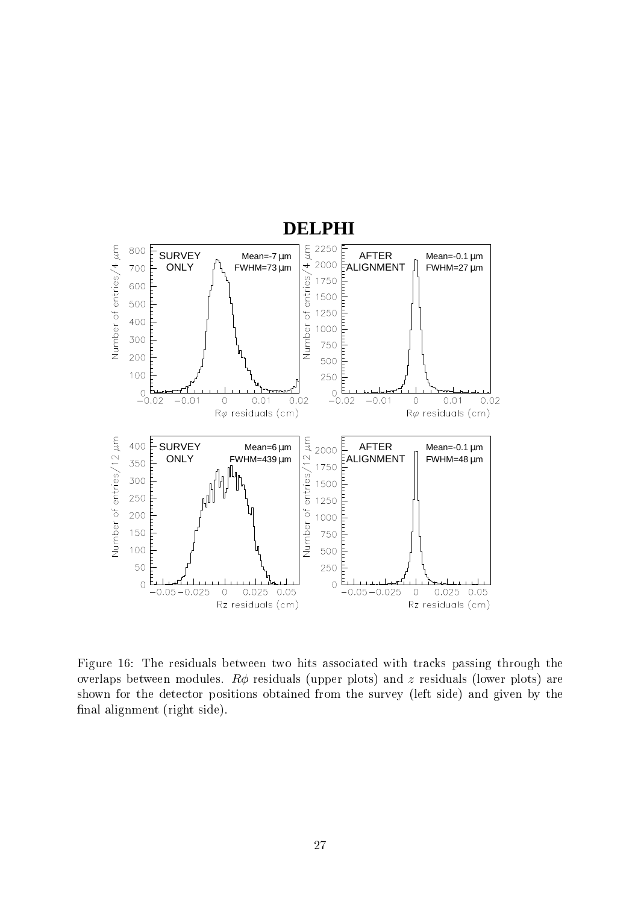

Figure 16: The residuals between two hits associated with tracks passing through the overlaps between modules.  $R\phi$  residuals (upper plots) and z residuals (lower plots) are shown for the detector positions obtained from the survey (left side) and given by the final alignment (right side).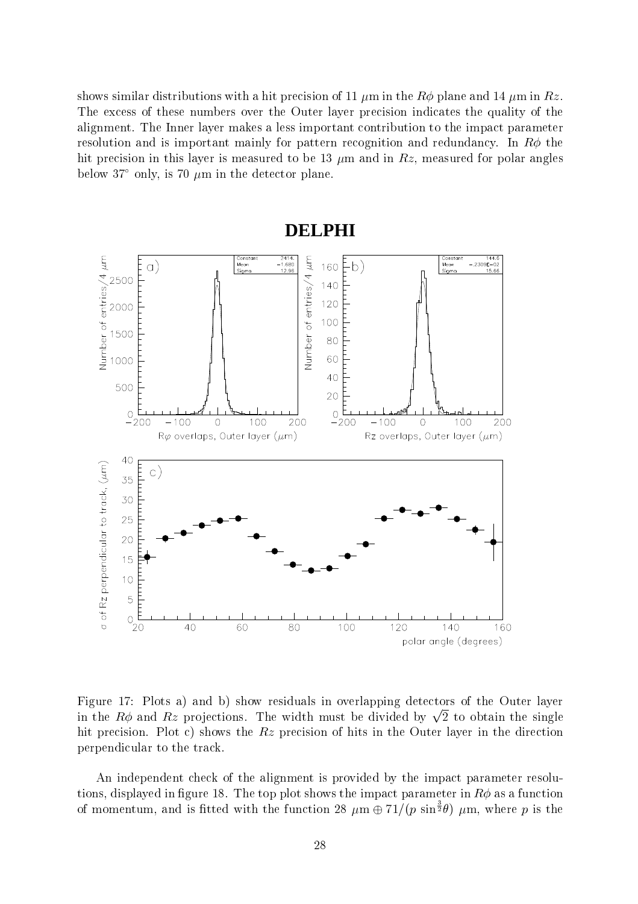shows similar distributions with a hit precision of 11  $\mu$ m in the  $R\phi$  plane and 14  $\mu$ m in Rz. The excess of these numbers over the Outer layer precision indicates the quality of the alignment. The Inner layer makes a less important contribution to the impact parameter resolution and is important mainly for pattern recognition and redundancy. In  $R\phi$  the hit precision in this layer is measured to be 13  $\mu$ m and in Rz, measured for polar angles below 37 $^{\circ}$  only, is 70  $\mu$ m in the detector plane.



Figure 17: Plots a) and b) show residuals in overlapping detectors of the Outer layer in the  $R\phi$  and  $Rz$  projections. The width must be divided by  $\sqrt{2}$  to obtain the single hit precision. Plot c) shows the  $Rz$  precision of hits in the Outer layer in the direction perpendicular to the track.

An independent check of the alignment is provided by the impact parameter resolutions, displayed in figure 18. The top plot shows the impact parameter in  $R\phi$  as a function of momentum, and is fitted with the function 28  $\mu$ m  $\oplus$  71/(p sin  $\overline{z}\theta$ )  $\mu$ m, where p is the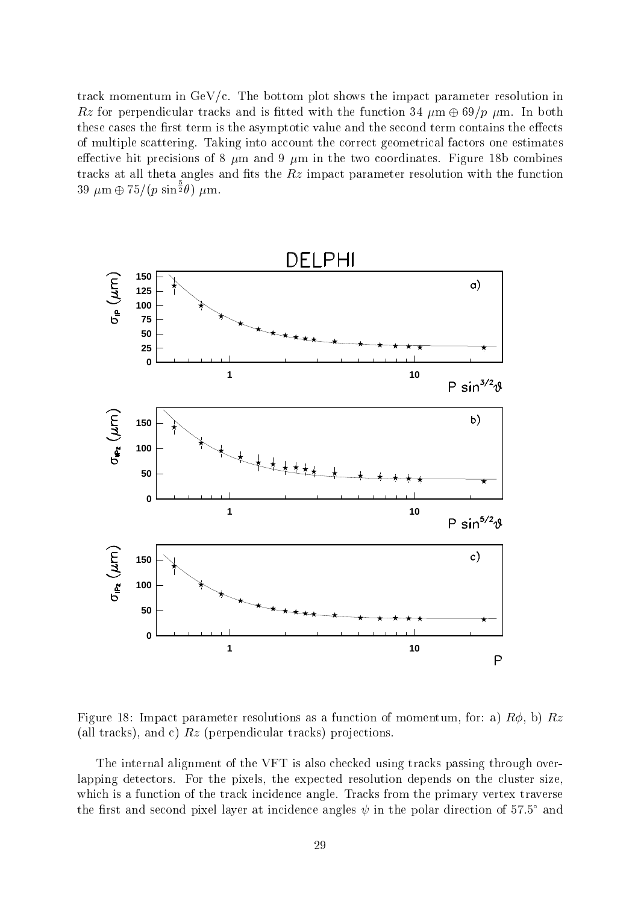track momentum in  $GeV/c$ . The bottom plot shows the impact parameter resolution in rate perpendicular tracks and in the function of the function  $\sigma = p$  m  $\eta$  ,  $p$  ,  $p$  m  $\sigma$  and  $\sigma$  and  $\sigma$ these cases the first term is the asymptotic value and the second term contains the effects of multiple scattering. Taking into account the correct geometrical factors one estimates effective hit precisions of 8  $\mu$ m and 9  $\mu$ m in the two coordinates. Figure 18b combines tracks at all theta angles and fits the  $Rz$  impact parameter resolution with the function  $39 \mu m \oplus 75/(p \sin \overline{2}\theta) \mu m.$ 



Figure 18: Impact parameter resolutions as a function of momentum, for: a)  $R\phi$ , b)  $Rz$ (all tracks), and c)  $Rz$  (perpendicular tracks) projections.

The internal alignment of the VFT is also checked using tracks passing through overlapping detectors. For the pixels, the expected resolution depends on the cluster size, which is a function of the track incidence angle. Tracks from the primary vertex traverse the first and second pixel layer at incidence angles  $\psi$  in the polar direction of 57.5° and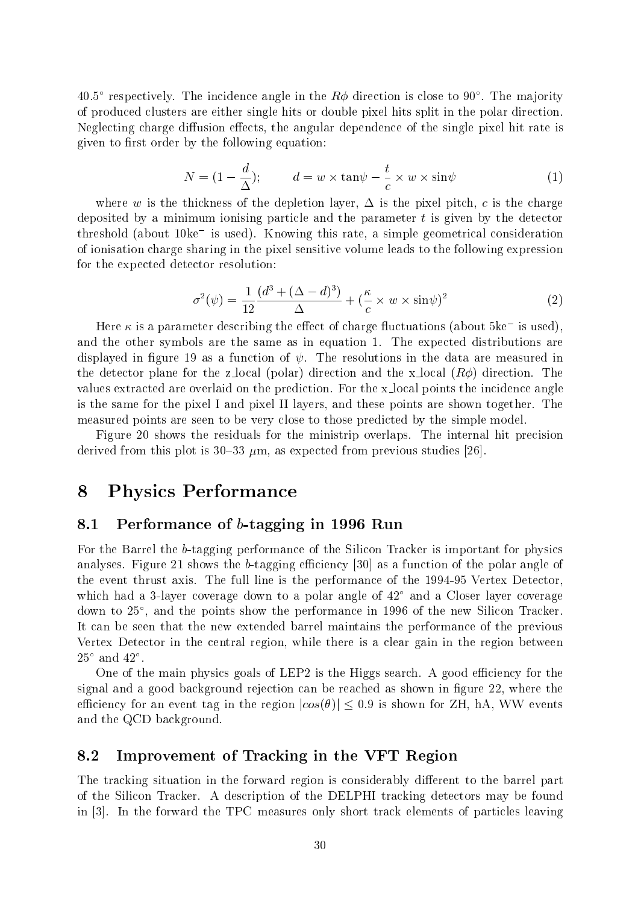40.5 respectively. The incidence angle in the  $R\phi$  direction is close to 90 . The majority of produced clusters are either single hits or double pixel hits split in the polar direction. Neglecting charge diffusion effects, the angular dependence of the single pixel hit rate is given to first order by the following equation:

$$
N = (1 - \frac{d}{\Delta}); \qquad d = w \times \tan\psi - \frac{t}{c} \times w \times \sin\psi \tag{1}
$$

where w is the thickness of the depletion layer,  $\Delta$  is the pixel pitch, c is the charge deposited by a minimum ionising particle and the parameter  $t$  is given by the detector threshold (about 10ke is used). Knowing this rate, a simple geometrical consideration of ionisation charge sharing in the pixel sensitive volume leads to the following expression for the expected detector resolution:

$$
\sigma^2(\psi) = \frac{1}{12} \frac{(d^3 + (\Delta - d)^3)}{\Delta} + \left(\frac{\kappa}{c} \times w \times \sin \psi\right)^2 \tag{2}
$$

Here  $\kappa$  is a parameter describing the effect of charge nuctuations (about  $\delta$ ke  $\,$  is used), the state state state state state state state state state state state state state state state state state state state stat and the other symbols are the same as in equation 1. The expected distributions are displayed in figure 19 as a function of  $\psi$ . The resolutions in the data are measured in the detector plane for the z-local (polar) direction and the x-local  $(R\phi)$  direction. The values extracted are overlaid on the prediction. For the x local points the incidence angle is the same for the pixel I and pixel II layers, and these points are shown together. The measured points are seen to be very close to those predicted by the simple model.

Figure 20 shows the residuals for the ministrip overlaps. The internal hit precision derived from this plot is 30–33  $\mu$ m, as expected from previous studies [26].

# 8 Physics Performance

### 8.1 Performance of b-tagging in 1996 Run

For the Barrel the b-tagging performance of the Silicon Tracker is important for physics analyses. Figure 21 shows the b-tagging efficiency [30] as a function of the polar angle of the event thrust axis. The full line is the performance of the 1994-95 Vertex Detector, which had a 3-layer coverage down to a polar angle of  $42^{\circ}$  and a Closer layer coverage down to 25 , and the points show the performance in 1996 of the new Silicon Tracker. It can be seen that the new extended barrel maintains the performance of the previous Vertex Detector in the central region, while there is a clear gain in the region between 25 and 42 .

One of the main physics goals of LEP2 is the Higgs search. A good efficiency for the signal and a good background rejection can be reached as shown in figure 22, where the efficiency for an event tag in the region  $|cos(\theta)| \leq 0.9$  is shown for ZH, hA, WW events and the QCD background.

## 8.2 Improvement of Tracking in the VFT Region

The tracking situation in the forward region is considerably different to the barrel part of the Silicon Tracker. A description of the DELPHI tracking detectors may be found in [3]. In the forward the TPC measures only short track elements of particles leaving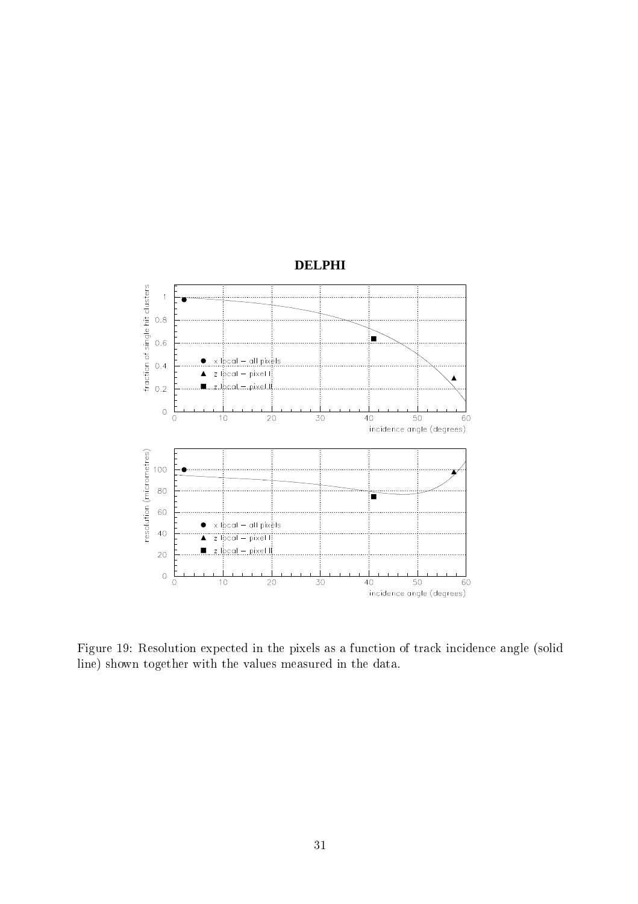

Figure 19: Resolution expected in the pixels as a function of track incidence angle (solid line) shown together with the values measured in the data.

31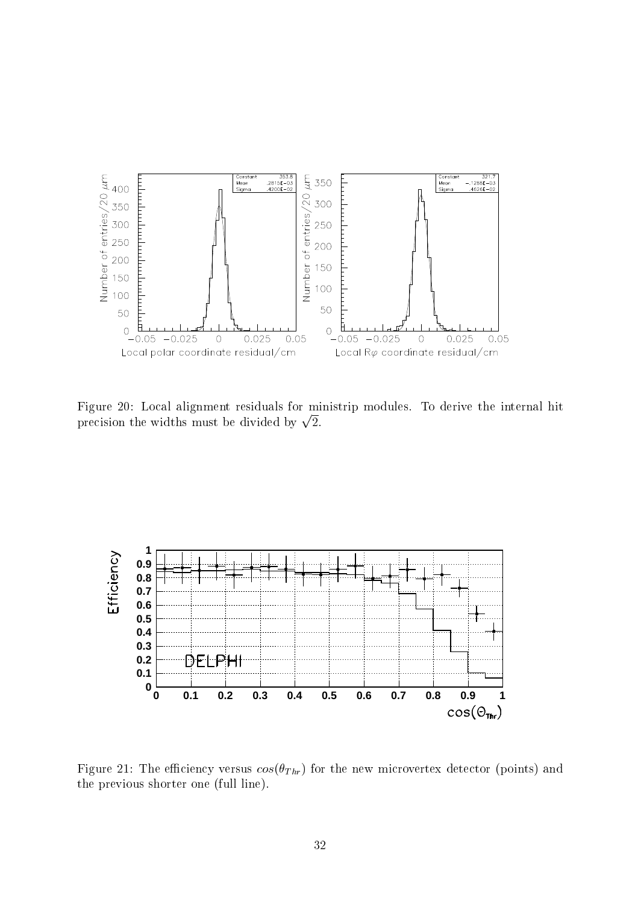

Figure 20: Local alignment residuals for ministrip modules. To derive the internal hit precision the widths must be divided by  $\sqrt{2}$ .



Figure 21: The efficiency versus  $cos(\theta_{Thr})$  for the new microvertex detector (points) and the previous shorter one (full line).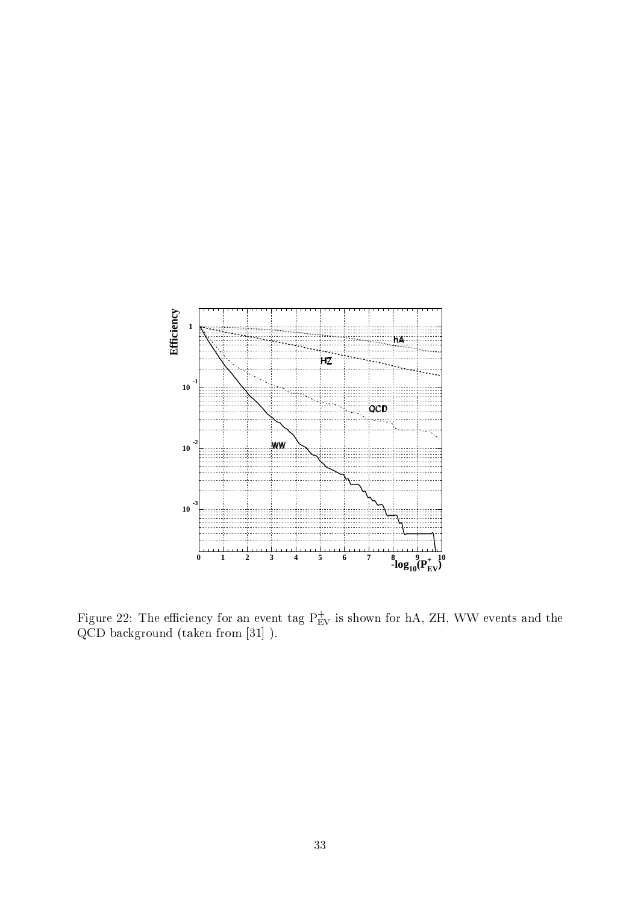

Figure 22: The emclency for an event tag  $\rm \mathrm{F_{EV}}$  is shown for hA, ZH, WW events and the  $\mathbb{R}$  , and  $\mathbb{R}$  ). The contract of the contract of the contract of the contract of the contract of the contract of the contract of the contract of the contract of the contract of the contract of the contract of th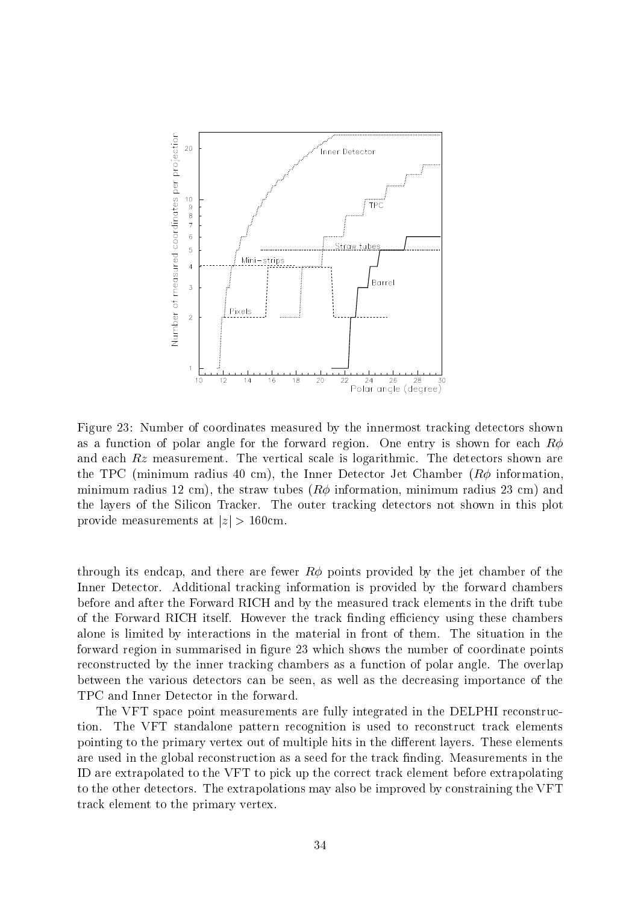

Figure 23: Number of coordinates measured by the innermost tracking detectors shown as a function of polar angle for the forward region. One entry is shown for each  $R\phi$ and each  $Rz$  measurement. The vertical scale is logarithmic. The detectors shown are the TPC (minimum radius 40 cm), the Inner Detector Jet Chamber ( $R\phi$  information, minimum radius 12 cm), the straw tubes ( $R\phi$  information, minimum radius 23 cm) and the layers of the Silicon Tracker. The outer tracking detectors not shown in this plot provide measurements at  $|z| > 160$ cm.

through its endcap, and there are fewer  $R\phi$  points provided by the jet chamber of the Inner Detector. Additional tracking information is provided by the forward chambers before and after the Forward RICH and by the measured track elements in the drift tube of the Forward RICH itself. However the track finding efficiency using these chambers alone is limited by interactions in the material in front of them. The situation in the forward region in summarised in figure 23 which shows the number of coordinate points reconstructed by the inner tracking chambers as a function of polar angle. The overlap between the various detectors can be seen, as well as the decreasing importance of the TPC and Inner Detector in the forward.

The VFT space point measurements are fully integrated in the DELPHI reconstruction. The VFT standalone pattern recognition is used to reconstruct track elements pointing to the primary vertex out of multiple hits in the different layers. These elements are used in the global reconstruction as a seed for the track finding. Measurements in the ID are extrapolated to the VFT to pick up the correct track element before extrapolating to the other detectors. The extrapolations may also be improved by constraining the VFT track element to the primary vertex.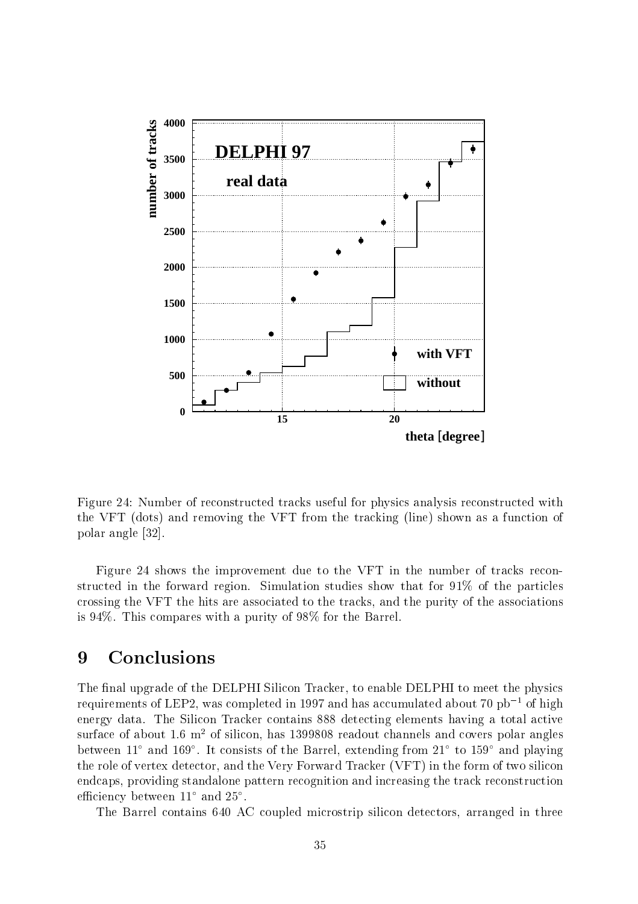

Figure 24: Number of reconstructed tracks useful for physics analysis reconstructed with the VFT (dots) and removing the VFT from the tracking (line) shown as a function of polar angle [32].

Figure 24 shows the improvement due to the VFT in the number of tracks reconstructed in the forward region. Simulation studies show that for 91% of the particles crossing the VFT the hits are associated to the tracks, and the purity of the associations is 94%. This compares with a purity of 98% for the Barrel.

# 9 Conclusions

The final upgrade of the DELPHI Silicon Tracker, to enable DELPHI to meet the physics requirements of LEP2, was completed in 1997 and has accumulated about 70  $pb^{-1}$  of high energy data. The Silicon Tracker contains 888 detecting elements having a total active surface of about 1.6  $m<sup>2</sup>$  of silicon, has 1399808 readout channels and covers polar angles between 11 and 169 . It consists of the Barrel, extending from 21 to 159 and playing the role of vertex detector, and the Very Forward Tracker (VFT) in the form of two silicon endcaps, providing standalone pattern recognition and increasing the track reconstruction efficiency between  $11^{\circ}$  and  $25^{\circ}$ .

.The Barrel contains 640 AC coupled microstrip silicon detectors, arranged in three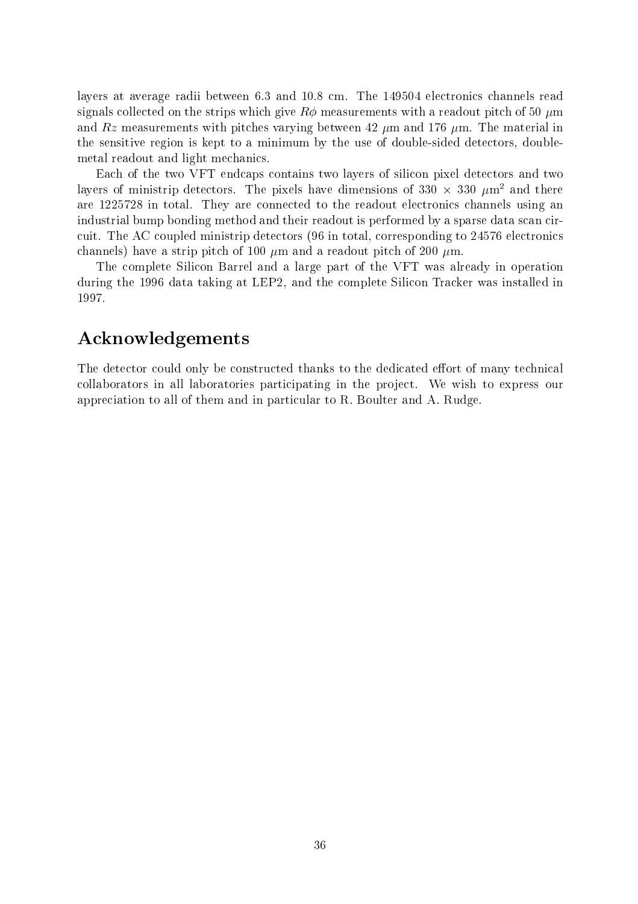layers at average radii between 6.3 and 10.8 cm. The 149504 electronics channels read signals collected on the strips which give  $R\phi$  measurements with a readout pitch of 50  $\mu$ m and Rz measurements with pitches varying between 42  $\mu$ m and 176  $\mu$ m. The material in the sensitive region is kept to a minimum by the use of double-sided detectors, doublemetal readout and light mechanics.

Each of the two VFT endcaps contains two layers of silicon pixel detectors and two layers of ministrip detectors. The pixels have dimensions of  $330\,$   $\times$   $330\,$   $\mu$ m- and there are 1225728 in total. They are connected to the readout electronics channels using an industrial bump bonding method and their readout is performed by a sparse data scan circuit. The AC coupled ministrip detectors (96 in total, corresponding to 24576 electronics channels) have a strip pitch of 100  $\mu$ m and a readout pitch of 200  $\mu$ m.

The complete Silicon Barrel and a large part of the VFT was already in operation during the 1996 data taking at LEP2, and the complete Silicon Tracker was installed in 1997.

# Acknowledgements

The detector could only be constructed thanks to the dedicated effort of many technical collaborators in all laboratories participating in the project. We wish to express our appreciation to all of them and in particular to R. Boulter and A. Rudge.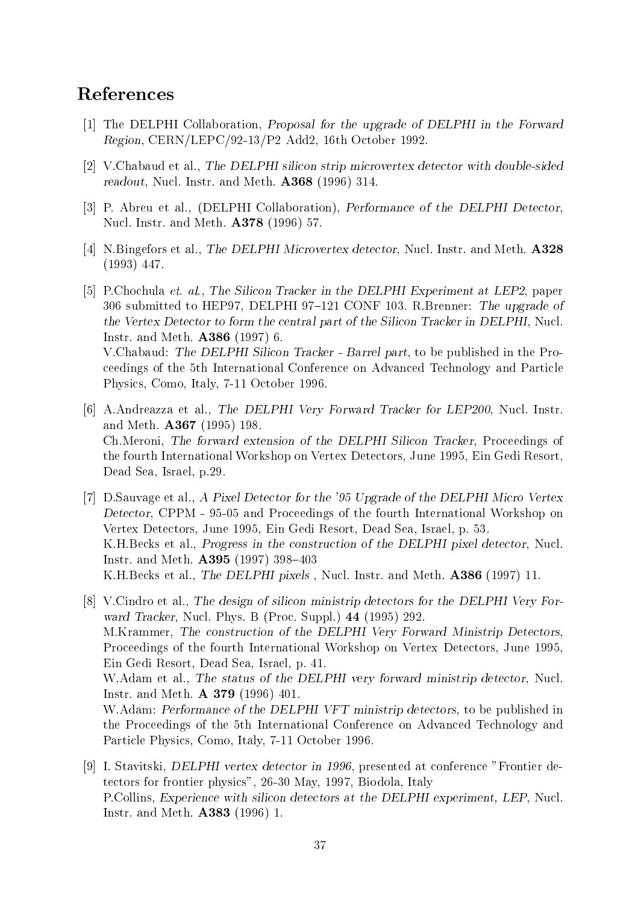# References

- [1] The DELPHI Collaboration, Proposal for the upgrade of DELPHI in the Forward Region, CERN/LEPC/92-13/P2 Add2, 16th October 1992.
- [2] V.Chabaud et al., The DELPHI silicon strip microvertex detector with double-sided readout, Nucl. Instr. and Meth.  $\mathbf{A368}$  (1996) 314.
- [3] P. Abreu et al., (DELPHI Collaboration), Performance of the DELPHI Detector, Nucl. Instr. and Meth. A378 (1996) 57.
- [4] N.Bingefors et al., The DELPHI Microvertex detector, Nucl. Instr. and Meth. A328 (1993) 447.
- [5] P.Chochula et.al., The Silicon Tracker in the DELPHI Experiment at LEP2, paper 306 submitted to HEP97, DELPHI 97-121 CONF 103. R.Brenner: The upgrade of the Vertex Detector to form the central part of the Silicon Tracker in DELPHI, Nucl. Instr. and Meth. A386 (1997) 6. V.Chabaud: The DELPHI Silicon Tracker - Barrel part, to be published in the Proceedings of the 5th International Conference on Advanced Technology and Particle Physics, Como, Italy, 7-11 October 1996.
- [6] A.Andreazza et al., The DELPHI Very Forward Tracker for LEP200, Nucl. Instr. and Meth. A367 (1995) 198. Ch.Meroni, The forward extension of the DELPHI Silicon Tracker, Proceedings of the fourth International Workshop on Vertex Detectors, June 1995, Ein Gedi Resort, Dead Sea, Israel, p.29.
- [7] D.Sauvage et al., A Pixel Detector for the '95 Upgrade of the DELPHI Micro Vertex Detector, CPPM - 95-05 and Proceedings of the fourth International Workshop on Vertex Detectors, June 1995, Ein Gedi Resort, Dead Sea, Israel, p. 53. K.H.Becks et al., Progress in the construction of the DELPHI pixel detector, Nucl. Instr. and Meth.  $\mathbf{A}395$  (1997) 398-403 K.H.Becks et al., The DELPHI pixels, Nucl. Instr. and Meth. A386 (1997) 11.
- [8] V.Cindro et al., The design of silicon ministrip detectors for the DELPHI Very Forward Tracker, Nucl. Phys. B (Proc. Suppl.) 44 (1995) 292. M.Krammer, The construction of the DELPHI Very Forward Ministrip Detectors, Proceedings of the fourth International Workshop on Vertex Detectors, June 1995, Ein Gedi Resort, Dead Sea, Israel, p. 41. W.Adam et al., The status of the DELPHI very forward ministrip detector, Nucl. Instr. and Meth. A 379 (1996) 401. W.Adam: Performance of the DELPHI VFT ministrip detectors, to be published in the Proceedings of the 5th International Conference on Advanced Technology and Particle Physics, Como, Italy, 7-11 October 1996.
- [9] I. Stavitski, DELPHI vertex detector in 1996, presented at conference "Frontier detectors for frontier physics", 26-30 May, 1997, Biodola, Italy P.Collins, Experience with silicon detectors at the DELPHI experiment, LEP, Nucl. Instr. and Meth. A383 (1996) 1.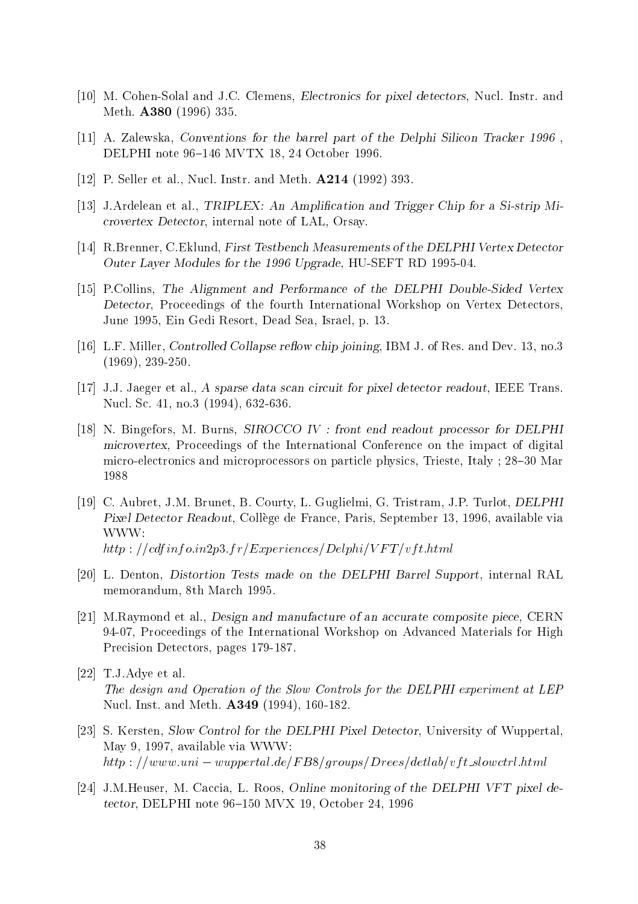- [10] M. Cohen-Solal and J.C. Clemens, Electronics for pixel detectors, Nucl. Instr. and Meth. A380 (1996) 335.
- [11] A. Zalewska, Conventions for the barrel part of the Delphi Silicon Tracker 1996 , DELPHI note 96-146 MVTX 18, 24 October 1996.
- [12] P. Seller et al., Nucl. Instr. and Meth. **A214** (1992) 393.
- [13] J.Ardelean et al., TRIPLEX: An Amplification and Trigger Chip for a Si-strip Microvertex Detector, internal note of LAL, Orsay.
- [14] R.Brenner, C.Eklund, First Testbench Measurements of the DELPHI Vertex Detector Outer Layer Modules for the 1996 Upgrade, HU-SEFT RD 1995-04.
- [15] P.Collins, The Alignment and Performance of the DELPHI Double-Sided Vertex Detector, Proceedings of the fourth International Workshop on Vertex Detectors, June 1995, Ein Gedi Resort, Dead Sea, Israel, p. 13.
- [16] L.F. Miller, *Controlled Collapse reflow chip joining*, IBM J. of Res. and Dev. 13, no.3 (1969), 239-250.
- [17] J.J. Jaeger et al., A sparse data scan circuit for pixel detector readout, IEEE Trans. Nucl. Sc. 41, no.3 (1994), 632-636.
- [18] N. Bingefors, M. Burns, SIROCCO IV : front end readout processor for DELPHI microvertex, Proceedings of the International Conference on the impact of digital micro-electronics and microprocessors on particle physics, Trieste, Italy ; 28–30 Mar 1988
- [19] C. Aubret, J.M. Brunet, B. Courty, L. Guglielmi, G. Tristram, J.P. Turlot, DELPHI Pixel Detector Readout, College de France, Paris, September 13, 1996, available via WWW:  $h(t)$  :  $\mu$   $\mu$  information  $\mu$  is the  $p$  superimeter of  $D$  to  $p$  if  $\mu$   $\mu$   $\mu$   $\mu$   $\mu$   $\mu$
- [20] L. Denton, Distortion Tests made on the DELPHI Barrel Support, internal RAL memorandum, 8th March 1995.
- [21] M.Raymond et al., Design and manufacture of an accurate composite piece, CERN 94-07, Proceedings of the International Workshop on Advanced Materials for High Precision Detectors, pages 179-187.
- [22] T.J.Adye et al. The design and Operation of the Slow Controls for the DELPHI experiment at LEP Nucl. Inst. and Meth. **A349** (1994), 160-182.
- [23] S. Kersten, Slow Control for the DELPHI Pixel Detector, University of Wuppertal, May 9, 1997, available via WWW:  $m(p+1)$  www.uni  $\equiv$  wupperturaci  $\Gamma$  D8/  $q_1$ 0 ups/Drees/dettab/v/ t i slowetrl:html
- [24] J.M.Heuser, M. Caccia, L. Roos, Online monitoring of the DELPHI VFT pixel detector, DELPHI note  $96-150$  MVX 19, October 24, 1996